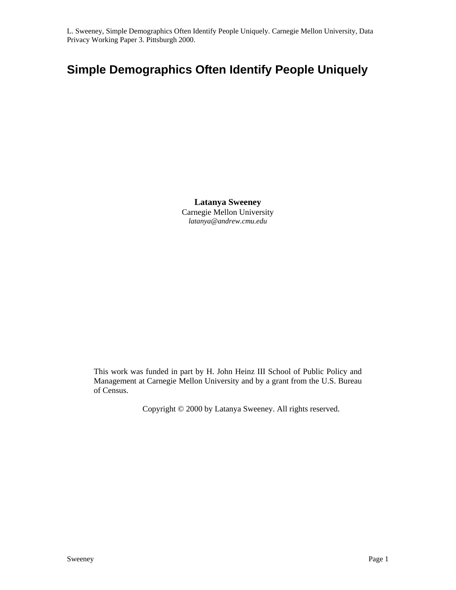# **Simple Demographics Often Identify People Uniquely**

**Latanya Sweeney**  Carnegie Mellon University *latanya@andrew.cmu.edu* 

This work was funded in part by H. John Heinz III School of Public Policy and Management at Carnegie Mellon University and by a grant from the U.S. Bureau of Census.

Copyright © 2000 by Latanya Sweeney. All rights reserved.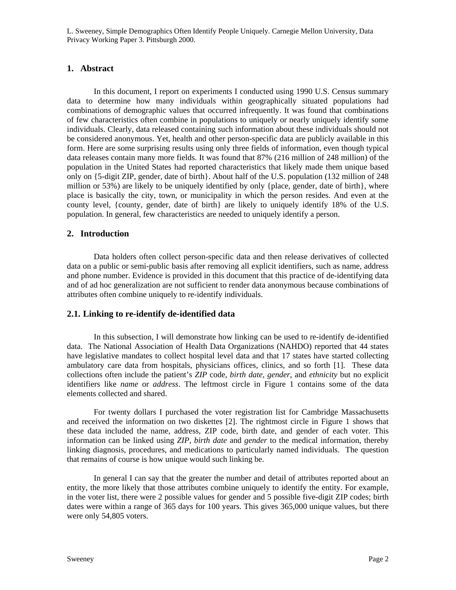# **1. Abstract**

In this document, I report on experiments I conducted using 1990 U.S. Census summary data to determine how many individuals within geographically situated populations had combinations of demographic values that occurred infrequently. It was found that combinations of few characteristics often combine in populations to uniquely or nearly uniquely identify some individuals. Clearly, data released containing such information about these individuals should not be considered anonymous. Yet, health and other person-specific data are publicly available in this form. Here are some surprising results using only three fields of information, even though typical data releases contain many more fields. It was found that 87% (216 million of 248 million) of the population in the United States had reported characteristics that likely made them unique based only on {5-digit ZIP, gender, date of birth}. About half of the U.S. population (132 million of 248 million or 53%) are likely to be uniquely identified by only {place, gender, date of birth}, where place is basically the city, town, or municipality in which the person resides. And even at the county level, {county, gender, date of birth} are likely to uniquely identify 18% of the U.S. population. In general, few characteristics are needed to uniquely identify a person.

# **2. Introduction**

Data holders often collect person-specific data and then release derivatives of collected data on a public or semi-public basis after removing all explicit identifiers, such as name, address and phone number. Evidence is provided in this document that this practice of de-identifying data and of ad hoc generalization are not sufficient to render data anonymous because combinations of attributes often combine uniquely to re-identify individuals.

### **2.1. Linking to re-identify de-identified data**

In this subsection, I will demonstrate how linking can be used to re-identify de-identified data. The National Association of Health Data Organizations (NAHDO) reported that 44 states have legislative mandates to collect hospital level data and that 17 states have started collecting ambulatory care data from hospitals, physicians offices, clinics, and so forth [1]. These data collections often include the patient's *ZIP* code, *birth date*, *gender*, and *ethnicity* but no explicit identifiers like *name* or *address*. The leftmost circle in Figure 1 contains some of the data elements collected and shared.

For twenty dollars I purchased the voter registration list for Cambridge Massachusetts and received the information on two diskettes [2]. The rightmost circle in Figure 1 shows that these data included the name, address, ZIP code, birth date, and gender of each voter. This information can be linked using *ZIP*, *birth date* and *gender* to the medical information, thereby linking diagnosis, procedures, and medications to particularly named individuals. The question that remains of course is how unique would such linking be.

In general I can say that the greater the number and detail of attributes reported about an entity, the more likely that those attributes combine uniquely to identify the entity. For example, in the voter list, there were 2 possible values for gender and 5 possible five-digit ZIP codes; birth dates were within a range of 365 days for 100 years. This gives 365,000 unique values, but there were only 54,805 voters.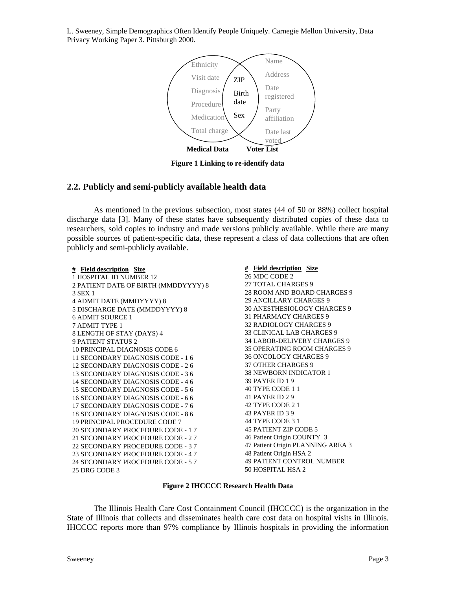

**Figure 1 Linking to re-identify data** 

# **2.2. Publicly and semi-publicly available health data**

As mentioned in the previous subsection, most states (44 of 50 or 88%) collect hospital discharge data [3]. Many of these states have subsequently distributed copies of these data to researchers, sold copies to industry and made versions publicly available. While there are many possible sources of patient-specific data, these represent a class of data collections that are often publicly and semi-publicly available.

| # Field description Size             | # Field description Size          |
|--------------------------------------|-----------------------------------|
| 1 HOSPITAL ID NUMBER 12              | 26 MDC CODE 2                     |
| 2 PATIENT DATE OF BIRTH (MMDDYYYY) 8 | 27 TOTAL CHARGES 9                |
| 3 SEX 1                              | 28 ROOM AND BOARD CHARGES 9       |
| 4 ADMIT DATE (MMDYYYY) 8             | <b>29 ANCILLARY CHARGES 9</b>     |
| 5 DISCHARGE DATE (MMDDYYYY) 8        | 30 ANESTHESIOLOGY CHARGES 9       |
| <b>6 ADMIT SOURCE 1</b>              | <b>31 PHARMACY CHARGES 9</b>      |
| <b>7 ADMIT TYPE 1</b>                | 32 RADIOLOGY CHARGES 9            |
| 8 LENGTH OF STAY (DAYS) 4            | 33 CLINICAL LAB CHARGES 9         |
| <b>9 PATIENT STATUS 2</b>            | 34 LABOR-DELIVERY CHARGES 9       |
| 10 PRINCIPAL DIAGNOSIS CODE 6        | 35 OPERATING ROOM CHARGES 9       |
| 11 SECONDARY DIAGNOSIS CODE - 16     | <b>36 ONCOLOGY CHARGES 9</b>      |
| 12 SECONDARY DIAGNOSIS CODE - 2 6    | <b>37 OTHER CHARGES 9</b>         |
| 13 SECONDARY DIAGNOSIS CODE - 3.6    | <b>38 NEWBORN INDICATOR 1</b>     |
| 14 SECONDARY DIAGNOSIS CODE - 4 6    | <b>39 PAYER ID 1 9</b>            |
| 15 SECONDARY DIAGNOSIS CODE - 5.6    | 40 TYPE CODE 11                   |
| 16 SECONDARY DIAGNOSIS CODE - 6 6    | 41 PAYER ID 2 9                   |
| 17 SECONDARY DIAGNOSIS CODE - 76     | 42 TYPE CODE 2 1                  |
| 18 SECONDARY DIAGNOSIS CODE - 8 6    | 43 PAYER ID 3 9                   |
| 19 PRINCIPAL PROCEDURE CODE 7        | 44 TYPE CODE 3 1                  |
| 20 SECONDARY PROCEDURE CODE - 17     | <b>45 PATIENT ZIP CODE 5</b>      |
| 21 SECONDARY PROCEDURE CODE - 27     | 46 Patient Origin COUNTY 3        |
| 22 SECONDARY PROCEDURE CODE - 3 7    | 47 Patient Origin PLANNING AREA 3 |
| 23 SECONDARY PROCEDURE CODE - 4 7    | 48 Patient Origin HSA 2           |
| 24 SECONDARY PROCEDURE CODE - 5 7    | <b>49 PATIENT CONTROL NUMBER</b>  |
| 25 DRG CODE 3                        | 50 HOSPITAL HSA 2                 |

#### **Figure 2 IHCCCC Research Health Data**

The Illinois Health Care Cost Containment Council (IHCCCC) is the organization in the State of Illinois that collects and disseminates health care cost data on hospital visits in Illinois. IHCCCC reports more than 97% compliance by Illinois hospitals in providing the information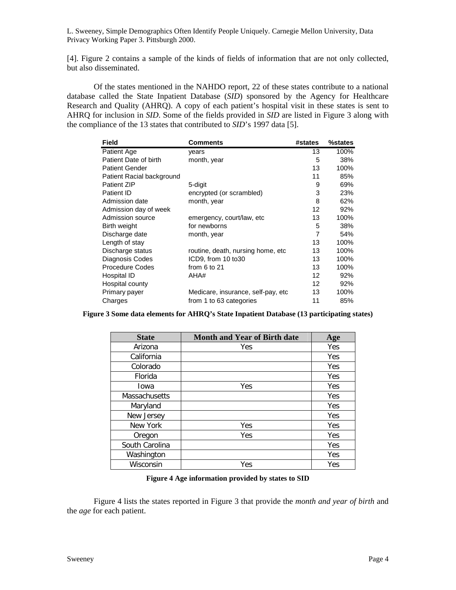[4]. Figure 2 contains a sample of the kinds of fields of information that are not only collected, but also disseminated.

Of the states mentioned in the NAHDO report, 22 of these states contribute to a national database called the State Inpatient Database (*SID*) sponsored by the Agency for Healthcare Research and Quality (AHRQ). A copy of each patient's hospital visit in these states is sent to AHRQ for inclusion in *SID*. Some of the fields provided in *SID* are listed in Figure 3 along with the compliance of the 13 states that contributed to *SID*'s 1997 data [5].

| <b>Field</b>              | Comments                           | #states | %states |
|---------------------------|------------------------------------|---------|---------|
| Patient Age               | years                              | 13      | 100%    |
| Patient Date of birth     | month, year                        | 5       | 38%     |
| <b>Patient Gender</b>     |                                    | 13      | 100%    |
| Patient Racial background |                                    | 11      | 85%     |
| <b>Patient ZIP</b>        | 5-digit                            | 9       | 69%     |
| Patient ID                | encrypted (or scrambled)           | 3       | 23%     |
| Admission date            | month, year                        | 8       | 62%     |
| Admission day of week     |                                    | 12      | 92%     |
| Admission source          | emergency, court/law, etc.         | 13      | 100%    |
| Birth weight              | for newborns                       | 5       | 38%     |
| Discharge date            | month, year                        | 7       | 54%     |
| Length of stay            |                                    | 13      | 100%    |
| Discharge status          | routine, death, nursing home, etc. | 13      | 100%    |
| Diagnosis Codes           | ICD9, from 10 to30                 | 13      | 100%    |
| <b>Procedure Codes</b>    | from 6 to 21                       | 13      | 100%    |
| Hospital ID               | AHA#                               | 12      | 92%     |
| Hospital county           |                                    | 12      | 92%     |
| Primary payer             | Medicare, insurance, self-pay, etc | 13      | 100%    |
| Charges                   | from 1 to 63 categories            | 11      | 85%     |

**Figure 3 Some data elements for AHRQ's State Inpatient Database (13 participating states)** 

| <b>State</b>         | <b>Month and Year of Birth date</b> | Age |
|----------------------|-------------------------------------|-----|
| Arizona              | Yes                                 | Yes |
| California           |                                     | Yes |
| Colorado             |                                     | Yes |
| Florida              |                                     | Yes |
| lowa                 | Yes                                 | Yes |
| <b>Massachusetts</b> |                                     | Yes |
| Maryland             |                                     | Yes |
| New Jersey           |                                     | Yes |
| New York             | Yes                                 | Yes |
| Oregon               | Yes                                 | Yes |
| South Carolina       |                                     | Yes |
| Washington           |                                     | Yes |
| Wisconsin            | Yes                                 | Yes |

#### **Figure 4 Age information provided by states to SID**

Figure 4 lists the states reported in Figure 3 that provide the *month and year of birth* and the *age* for each patient.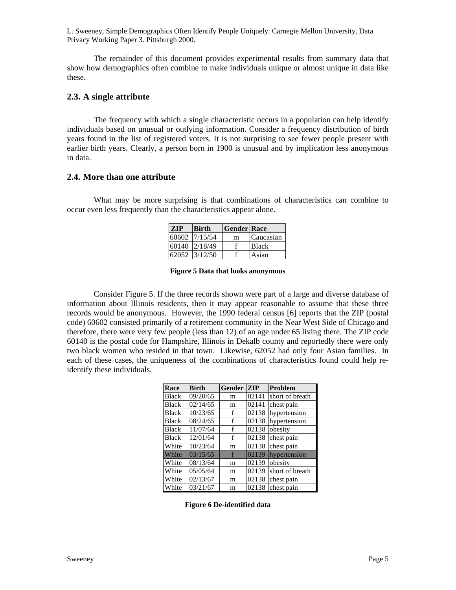The remainder of this document provides experimental results from summary data that show how demographics often combine to make individuals unique or almost unique in data like these.

### **2.3. A single attribute**

The frequency with which a single characteristic occurs in a population can help identify individuals based on unusual or outlying information. Consider a frequency distribution of birth years found in the list of registered voters. It is not surprising to see fewer people present with earlier birth years. Clearly, a person born in 1900 is unusual and by implication less anonymous in data.

### **2.4. More than one attribute**

What may be more surprising is that combinations of characteristics can combine to occur even less frequently than the characteristics appear alone.

| <b>ZIP</b> | Birth         | <b>Gender Race</b> |              |
|------------|---------------|--------------------|--------------|
|            | 60602 7/15/54 | m                  | Caucasian    |
|            | 60140 2/18/49 |                    | <b>Black</b> |
|            | 62052 3/12/50 |                    | Asian        |

|  |  |  | <b>Figure 5 Data that looks anonymous</b> |
|--|--|--|-------------------------------------------|
|--|--|--|-------------------------------------------|

Consider Figure 5. If the three records shown were part of a large and diverse database of information about Illinois residents, then it may appear reasonable to assume that these three records would be anonymous. However, the 1990 federal census [6] reports that the ZIP (postal code) 60602 consisted primarily of a retirement community in the Near West Side of Chicago and therefore, there were very few people (less than 12) of an age under 65 living there. The ZIP code 60140 is the postal code for Hampshire, Illinois in Dekalb county and reportedly there were only two black women who resided in that town. Likewise, 62052 had only four Asian families. In each of these cases, the uniqueness of the combinations of characteristics found could help reidentify these individuals.

| Race         | <b>Birth</b> | Gender | <b>ZIP</b> | <b>Problem</b>  |
|--------------|--------------|--------|------------|-----------------|
| <b>Black</b> | 09/20/65     | m      | 02141      | short of breath |
| <b>Black</b> | 02/14/65     | m      | 02141      | chest pain      |
| <b>Black</b> | 10/23/65     | f      | 02138      | hypertension    |
| <b>Black</b> | 08/24/65     | f      | 02138      | hypertension    |
| <b>Black</b> | 11/07/64     | f      | 02138      | obesity         |
| <b>Black</b> | 12/01/64     | f      | 02138      | chest pain      |
| White        | 10/23/64     | m      | 02138      | chest pain      |
| White        | 03/15/65     | f      | 02139      | hypertension    |
| White        | 08/13/64     | m      | 02139      | obesity         |
| White        | 05/05/64     | m      | 02139      | short of breath |
| White        | 02/13/67     | m      | 02138      | chest pain      |
| White        | 03/21/67     | m      | 02138      | chest pain      |

**Figure 6 De-identified data**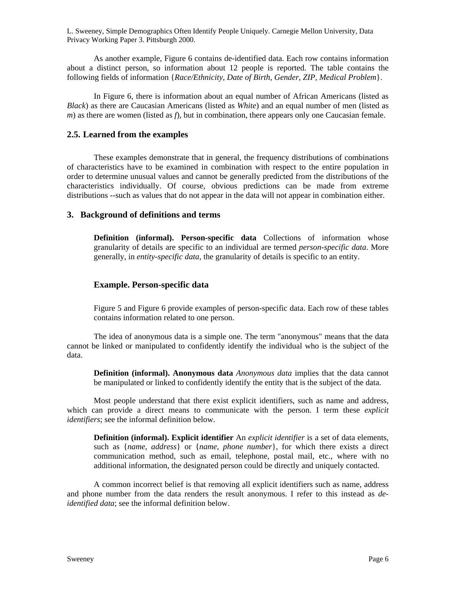As another example, Figure 6 contains de-identified data. Each row contains information about a distinct person, so information about 12 people is reported. The table contains the following fields of information {*Race/Ethnicity*, *Date of Birth*, *Gender*, *ZIP*, *Medical Problem*}.

In Figure 6, there is information about an equal number of African Americans (listed as *Black*) as there are Caucasian Americans (listed as *White*) and an equal number of men (listed as *m*) as there are women (listed as *f*), but in combination, there appears only one Caucasian female.

### **2.5. Learned from the examples**

These examples demonstrate that in general, the frequency distributions of combinations of characteristics have to be examined in combination with respect to the entire population in order to determine unusual values and cannot be generally predicted from the distributions of the characteristics individually. Of course, obvious predictions can be made from extreme distributions --such as values that do not appear in the data will not appear in combination either.

### **3. Background of definitions and terms**

**Definition (informal). Person-specific data** Collections of information whose granularity of details are specific to an individual are termed *person-specific data*. More generally, in *entity-specific data*, the granularity of details is specific to an entity.

### **Example. Person-specific data**

Figure 5 and Figure 6 provide examples of person-specific data. Each row of these tables contains information related to one person.

The idea of anonymous data is a simple one. The term "anonymous" means that the data cannot be linked or manipulated to confidently identify the individual who is the subject of the data.

**Definition (informal). Anonymous data** *Anonymous data* implies that the data cannot be manipulated or linked to confidently identify the entity that is the subject of the data.

Most people understand that there exist explicit identifiers, such as name and address, which can provide a direct means to communicate with the person. I term these *explicit identifiers*; see the informal definition below.

**Definition (informal). Explicit identifier** An *explicit identifier* is a set of data elements, such as {*name*, *address*} or {*name*, *phone number*}, for which there exists a direct communication method, such as email, telephone, postal mail, etc., where with no additional information, the designated person could be directly and uniquely contacted.

A common incorrect belief is that removing all explicit identifiers such as name, address and phone number from the data renders the result anonymous. I refer to this instead as *deidentified data*; see the informal definition below.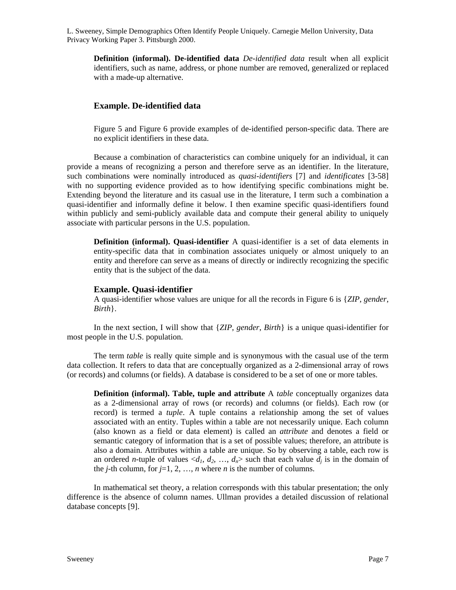**Definition (informal). De-identified data** *De-identified data* result when all explicit identifiers, such as name, address, or phone number are removed, generalized or replaced with a made-up alternative.

### **Example. De-identified data**

Figure 5 and Figure 6 provide examples of de-identified person-specific data. There are no explicit identifiers in these data.

Because a combination of characteristics can combine uniquely for an individual, it can provide a means of recognizing a person and therefore serve as an identifier. In the literature, such combinations were nominally introduced as *quasi-identifiers* [7] and *identificates* [3-58] with no supporting evidence provided as to how identifying specific combinations might be. Extending beyond the literature and its casual use in the literature, I term such a combination a quasi-identifier and informally define it below. I then examine specific quasi-identifiers found within publicly and semi-publicly available data and compute their general ability to uniquely associate with particular persons in the U.S. population.

**Definition (informal). Quasi-identifier** A quasi-identifier is a set of data elements in entity-specific data that in combination associates uniquely or almost uniquely to an entity and therefore can serve as a means of directly or indirectly recognizing the specific entity that is the subject of the data.

#### **Example. Quasi-identifier**

A quasi-identifier whose values are unique for all the records in Figure 6 is {*ZIP*, *gender*, *Birth*}.

In the next section, I will show that {*ZIP*, *gender*, *Birth*} is a unique quasi-identifier for most people in the U.S. population.

The term *table* is really quite simple and is synonymous with the casual use of the term data collection. It refers to data that are conceptually organized as a 2-dimensional array of rows (or records) and columns (or fields). A database is considered to be a set of one or more tables.

**Definition (informal). Table, tuple and attribute** A *table* conceptually organizes data as a 2-dimensional array of rows (or records) and columns (or fields). Each row (or record) is termed a *tuple*. A tuple contains a relationship among the set of values associated with an entity. Tuples within a table are not necessarily unique. Each column (also known as a field or data element) is called an *attribute* and denotes a field or semantic category of information that is a set of possible values; therefore, an attribute is also a domain. Attributes within a table are unique. So by observing a table, each row is an ordered *n*-tuple of values  $\langle d_1, d_2, ..., d_n \rangle$  such that each value  $d_i$  is in the domain of the *j*-th column, for  $j=1, 2, ..., n$  where *n* is the number of columns.

In mathematical set theory, a relation corresponds with this tabular presentation; the only difference is the absence of column names. Ullman provides a detailed discussion of relational database concepts [9].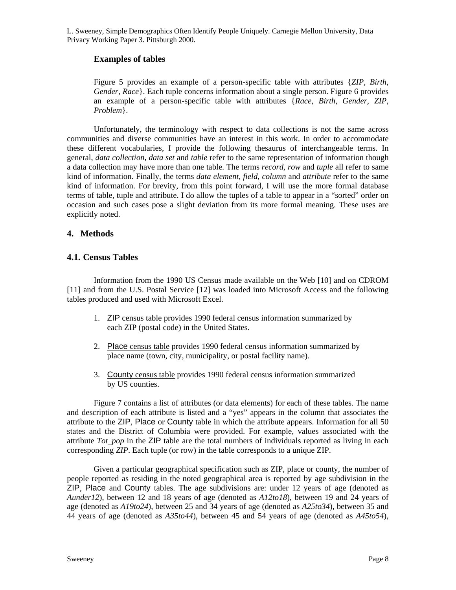# **Examples of tables**

Figure 5 provides an example of a person-specific table with attributes {*ZIP*, *Birth*, *Gender*, *Race*}. Each tuple concerns information about a single person. Figure 6 provides an example of a person-specific table with attributes {*Race*, *Birth*, *Gender*, *ZIP*, *Problem*}.

Unfortunately, the terminology with respect to data collections is not the same across communities and diverse communities have an interest in this work. In order to accommodate these different vocabularies, I provide the following thesaurus of interchangeable terms. In general, *data collection*, *data set* and *table* refer to the same representation of information though a data collection may have more than one table. The terms *record*, *row* and *tuple* all refer to same kind of information. Finally, the terms *data element*, *field*, *column* and *attribute* refer to the same kind of information. For brevity, from this point forward, I will use the more formal database terms of table, tuple and attribute. I do allow the tuples of a table to appear in a "sorted" order on occasion and such cases pose a slight deviation from its more formal meaning. These uses are explicitly noted.

# **4. Methods**

# **4.1. Census Tables**

Information from the 1990 US Census made available on the Web [10] and on CDROM [11] and from the U.S. Postal Service [12] was loaded into Microsoft Access and the following tables produced and used with Microsoft Excel.

- 1. ZIP census table provides 1990 federal census information summarized by each ZIP (postal code) in the United States.
- 2. Place census table provides 1990 federal census information summarized by place name (town, city, municipality, or postal facility name).
- 3. County census table provides 1990 federal census information summarized by US counties.

Figure 7 contains a list of attributes (or data elements) for each of these tables. The name and description of each attribute is listed and a "yes" appears in the column that associates the attribute to the ZIP, Place or County table in which the attribute appears. Information for all 50 states and the District of Columbia were provided. For example, values associated with the attribute *Tot\_pop* in the ZIP table are the total numbers of individuals reported as living in each corresponding *ZIP*. Each tuple (or row) in the table corresponds to a unique ZIP.

Given a particular geographical specification such as ZIP, place or county, the number of people reported as residing in the noted geographical area is reported by age subdivision in the ZIP, Place and County tables. The age subdivisions are: under 12 years of age (denoted as *Aunder12*), between 12 and 18 years of age (denoted as *A12to18*), between 19 and 24 years of age (denoted as *A19to24*), between 25 and 34 years of age (denoted as *A25to34*), between 35 and 44 years of age (denoted as *A35to44*), between 45 and 54 years of age (denoted as *A45to54*),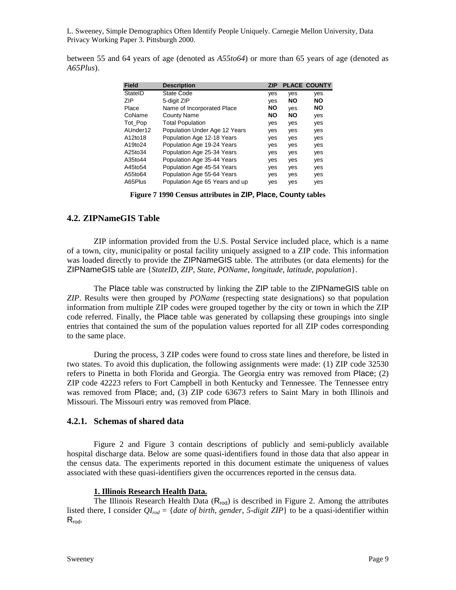between 55 and 64 years of age (denoted as *A55to64*) or more than 65 years of age (denoted as *A65Plus*).

| Field    | <b>Description</b>             | <b>ZIP</b> |           | <b>PLACE COUNTY</b> |
|----------|--------------------------------|------------|-----------|---------------------|
| StatelD  | State Code                     | yes        | yes       | yes                 |
| ZIP      | 5-digit ZIP                    | yes        | NΟ        | <b>NO</b>           |
| Place    | Name of Incorporated Place     | NO         | yes       | <b>NO</b>           |
| CoName   | County Name                    | NO         | <b>NO</b> | yes                 |
| Tot Pop  | <b>Total Population</b>        | yes        | yes       | yes                 |
| AUnder12 | Population Under Age 12 Years  | yes        | yes       | yes                 |
| A12to18  | Population Age 12-18 Years     | yes        | yes       | yes                 |
| A19to24  | Population Age 19-24 Years     | yes        | yes       | yes                 |
| A25to34  | Population Age 25-34 Years     | yes        | yes       | yes                 |
| A35to44  | Population Age 35-44 Years     | yes        | yes       | yes                 |
| A45to54  | Population Age 45-54 Years     | yes        | yes       | yes                 |
| A55to64  | Population Age 55-64 Years     | yes        | yes       | yes                 |
| A65Plus  | Population Age 65 Years and up | yes        | yes       | yes                 |

**Figure 7 1990 Census attributes in ZIP, Place, County tables** 

#### **4.2. ZIPNameGIS Table**

ZIP information provided from the U.S. Postal Service included place, which is a name of a town, city, municipality or postal facility uniquely assigned to a ZIP code. This information was loaded directly to provide the ZIPNameGIS table. The attributes (or data elements) for the ZIPNameGIS table are {*StateID*, *ZIP*, *State*, *POName*, *longitude*, *latitude*, *population*}.

The Place table was constructed by linking the ZIP table to the ZIPNameGIS table on *ZIP*. Results were then grouped by *POName* (respecting state designations) so that population information from multiple ZIP codes were grouped together by the city or town in which the ZIP code referred. Finally, the Place table was generated by collapsing these groupings into single entries that contained the sum of the population values reported for all ZIP codes corresponding to the same place.

During the process, 3 ZIP codes were found to cross state lines and therefore, be listed in two states. To avoid this duplication, the following assignments were made: (1) ZIP code 32530 refers to Pinetta in both Florida and Georgia. The Georgia entry was removed from Place; (2) ZIP code 42223 refers to Fort Campbell in both Kentucky and Tennessee. The Tennessee entry was removed from Place; and, (3) ZIP code 63673 refers to Saint Mary in both Illinois and Missouri. The Missouri entry was removed from Place.

#### **4.2.1. Schemas of shared data**

Figure 2 and Figure 3 contain descriptions of publicly and semi-publicly available hospital discharge data. Below are some quasi-identifiers found in those data that also appear in the census data. The experiments reported in this document estimate the uniqueness of values associated with these quasi-identifiers given the occurrences reported in the census data.

#### **1. Illinois Research Health Data.**

The Illinois Research Health Data  $(R_{rod})$  is described in Figure 2. Among the attributes listed there, I consider  $QI_{rod} = \{date\ of\ birth, gender, 5-digit\ ZIP\}$  to be a quasi-identifier within  $R_{rod}$ .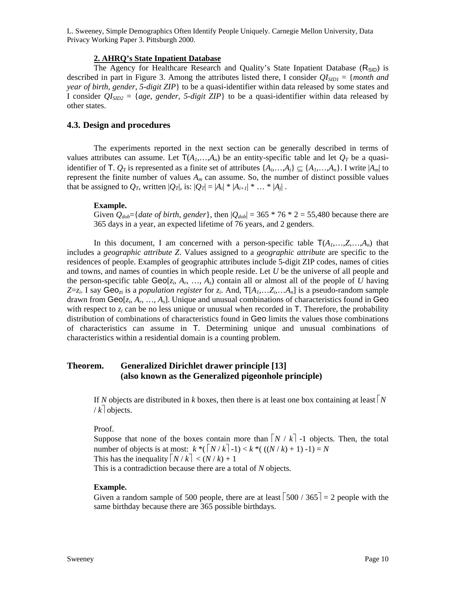#### **2. AHRQ's State Inpatient Database**

The Agency for Healthcare Research and Quality's State Inpatient Database (R<sub>SID</sub>) is described in part in Figure 3. Among the attributes listed there, I consider  $QI_{SD1} = \{month \ and \}$ *year of birth*, *gender*, *5-digit ZIP*} to be a quasi-identifier within data released by some states and I consider  $QI_{SID2} = \{age, gender, 5-digit \text{ }ZIP\}$  to be a quasi-identifier within data released by other states.

### **4.3. Design and procedures**

The experiments reported in the next section can be generally described in terms of values attributes can assume. Let  $T(A_1,...,A_n)$  be an entity-specific table and let  $Q_T$  be a quasiidentifier of T.  $Q_T$  is represented as a finite set of attributes  $\{A_i, \ldots, A_j\} \subseteq \{A_1, \ldots, A_n\}$ . I write  $|A_m|$  to represent the finite number of values  $A_m$  can assume. So, the number of distinct possible values that be assigned to  $Q_T$ , written  $|Q_T|$ , is:  $|Q_T| = |A_i| * |A_{i+1}| * ... * |A_j|$ .

#### **Example.**

Given  $Q_{\text{dob}}$ ={*date of birth, gender*}, then  $|Q_{\text{ dob}}|$  = 365  $*$  76  $*$  2 = 55,480 because there are 365 days in a year, an expected lifetime of 76 years, and 2 genders.

In this document, I am concerned with a person-specific table  $T(A_1, \ldots, Z, \ldots, A_n)$  that includes a *geographic attribute Z*. Values assigned to a *geographic attribute* are specific to the residences of people. Examples of geographic attributes include 5-digit ZIP codes, names of cities and towns, and names of counties in which people reside. Let *U* be the universe of all people and the person-specific table  $\text{Geo}[z_i, A_r, \ldots, A_s]$  contain all or almost all of the people of *U* having  $Z=z_i$ . I say Geo<sub>zi</sub> is a *population register* for  $z_i$ . And,  $T[A_1, \ldots, Z_i, \ldots, A_n]$  is a pseudo-random sample drawn from Geo[*zi*, *Ar*, …, *As*]. Unique and unusual combinations of characteristics found in Geo with respect to  $z_i$  can be no less unique or unusual when recorded in  $\mathsf{T}$ . Therefore, the probability distribution of combinations of characteristics found in Geo limits the values those combinations of characteristics can assume in T. Determining unique and unusual combinations of characteristics within a residential domain is a counting problem.

# **Theorem. Generalized Dirichlet drawer principle [13] (also known as the Generalized pigeonhole principle)**

If *N* objects are distributed in *k* boxes, then there is at least one box containing at least  $\vert N \vert$  $/k$  objects.

Proof.

Suppose that none of the boxes contain more than  $\lceil N / k \rceil$  -1 objects. Then, the total number of objects is at most:  $k * (N/k-1) < k * ((N/k) + 1) - 1 = N$ This has the inequality  $\lceil N/k \rceil < (N/k) + 1$ This is a contradiction because there are a total of *N* objects.

#### **Example.**

Given a random sample of 500 people, there are at least  $\lceil 500 / 365 \rceil = 2$  people with the same birthday because there are 365 possible birthdays.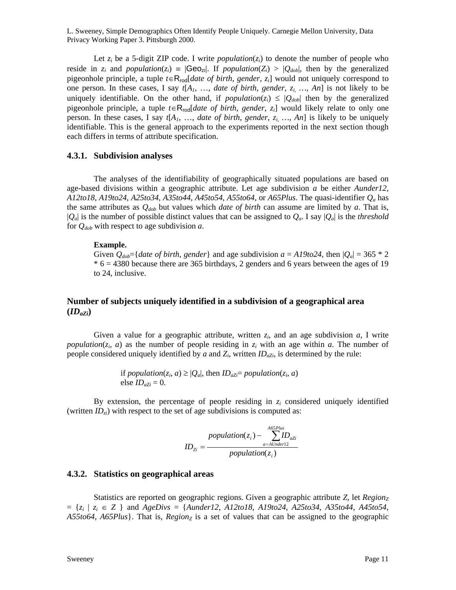Let  $z_i$  be a 5-digit ZIP code. I write *population*( $z_i$ ) to denote the number of people who reside in  $z_i$  and *population*( $z_i$ ) =  $|Geo_{zi}|$ . If *population*( $Z_i$ ) >  $|Q_{dob}|$ , then by the generalized pigeonhole principle, a tuple *t*∈Rrod[*date of birth*, *gender*, *zi*] would not uniquely correspond to one person. In these cases, I say  $t[A_1, \ldots, da_{t}t]$  *date of birth, gender,*  $z_i$ , ..., An is not likely to be uniquely identifiable. On the other hand, if *population*( $z_i$ )  $\leq |Q_{dob}|$  then by the generalized pigeonhole principle, a tuple *t*∈Rrod[*date of birth*, *gender*, *zi*] would likely relate to only one person. In these cases, I say *t*[*A1*, …, *date of birth*, *gender*, *zi, …, An*] is likely to be uniquely identifiable. This is the general approach to the experiments reported in the next section though each differs in terms of attribute specification.

### **4.3.1. Subdivision analyses**

The analyses of the identifiability of geographically situated populations are based on age-based divisions within a geographic attribute. Let age subdivision *a* be either *Aunder12*, *A12to18*, *A19to24*, *A25to34*, *A35to44*, *A45to54*, *A55to64*, or *A65Plus*. The quasi-identifier *Qa* has the same attributes as  $Q_{\text{dob}}$  but values which *date of birth* can assume are limited by *a*. That is,  $|Q_a|$  is the number of possible distinct values that can be assigned to  $Q_a$ . I say  $|Q_a|$  is the *threshold* for  $Q_{dob}$  with respect to age subdivision *a*.

#### **Example.**

Given  $Q_{\text{dob}}$ ={*date of birth, gender*} and age subdivision  $a = A19$ *to*24, then  $|Q_a| = 365 * 2$  $* 6 = 4380$  because there are 365 birthdays, 2 genders and 6 years between the ages of 19 to 24, inclusive.

# **Number of subjects uniquely identified in a subdivision of a geographical area**   $(\mathbf{ID}_{aZi})$

Given a value for a geographic attribute, written  $z_i$ , and an age subdivision  $a$ , I write *population*( $z_i$ , *a*) as the number of people residing in  $z_i$  with an age within *a*. The number of people considered uniquely identified by  $a$  and  $Z_i$ , written  $ID_{aZi}$ , is determined by the rule:

> if *population*( $z_i$ ,  $a$ )  $\geq |Q_a|$ , then *ID<sub>aZi</sub>*= *population*( $z_i$ ,  $a$ ) else  $ID_{aZi} = 0$ .

By extension, the percentage of people residing in  $z_i$  considered uniquely identified (written  $ID_{zi}$ ) with respect to the set of age subdivisions is computed as:

$$
ID_{zi} = \frac{population(z_i) - \sum_{a=AtUnder12}^{A65Plus} ID_{azi}}{population(z_i)}
$$

#### **4.3.2. Statistics on geographical areas**

Statistics are reported on geographic regions. Given a geographic attribute *Z*, let *Region*<sub>z</sub> = {*zi* | *zi* ∈ *Z* } and *AgeDivs* = {*Aunder12*, *A12to18*, *A19to24*, *A25to34*, *A35to44*, *A45to54*, *A55to64, A65Plus*}. That is, *Regionz* is a set of values that can be assigned to the geographic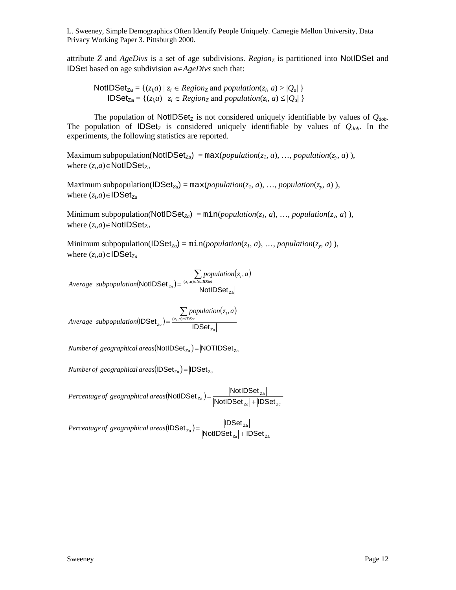attribute *Z* and *AgeDivs* is a set of age subdivisions. *Regionz* is partitioned into NotIDSet and IDSet based on age subdivision a∈*AgeDivs* such that:

NotIDSet<sub>Za</sub> = {(*z<sub>i</sub>,a*) | *z<sub>i</sub>*  $\in$  *Regionz* and *population*(*z<sub>i</sub>*, *a*) > |*Q<sub>a</sub>*| }  $\text{IDSet}_{\text{Za}} = \{ (z_i, a) \mid z_i \in \text{Region}_\text{Z} \text{ and } \text{population}(z_i, a) \leq |Q_a| \}$ 

The population of NotIDSet<sub>z</sub> is not considered uniquely identifiable by values of  $Q_{\text{dob}}$ . The population of  $IDSet<sub>Z</sub>$  is considered uniquely identifiable by values of  $Q_{dob}$ . In the experiments, the following statistics are reported.

Maximum subpopulation(NotIDSet<sub>Za</sub>) = max(*population*(*z<sub>1</sub>, a*), ..., *population*(*z<sub>y</sub>, a*)), where  $(z_i, a)$ ∈NotIDSet<sub>Za</sub>

Maximum subpopulation( $\text{IDSet}_{Z_a}$ ) = max(*population*( $z_1, a$ ), ..., *population*( $z_y, a$ )), where  $(z_i, a) \in \text{IDSet}_{Z_a}$ 

Minimum subpopulation(NotIDSet<sub>Za</sub>) = min(*population*( $z_1$ ,  $a$ ), ..., *population*( $z_y$ ,  $a$ )), where  $(z_i, a) \in \text{NotIDSet}_{Z_a}$ 

Minimum subpopulation( $\text{IDSet}_{Z_a}$ ) = min(*population*( $z_1, a$ ), ..., *population*( $z_y, a$ )), where  $(z_i, a) \in \text{IDSet}_{Z_a}$ 

(NotIDSet $_{z_a}$ )  $(z_i, a)$  $\text{NotIDSet}_{z_a}$  $=$  $\frac{\sum_{(z_i, a) \in \text{NonIDSet}}{postIDSet}_{z_a}}{\text{NotIDSet}_{z_a}}$  $\left( \frac{z}{z_a} \right) = \frac{\Delta z_i}{z_a}$ *population*(*z*<sub>*i*</sub>, *a Average subpopulation*( $\text{NotIDSet}_{z_a}$ ) =  $\frac{(z_i, a)}{z_a}$ ,

(IDSet $_{z_a}$ )  $(z_i, a)$  $(DSet_{Za}) = \frac{\sum_{(z_i, a) \in IDSet} population(z_i)}{|IDSet_{Za}|}$  $\left( \frac{z_a}{z_a} \right) = \frac{\Delta z_i}{\Delta z}$ *population* $(z_i, a)$ *Average subpopulation*( $\text{IDSet}_{z_a}$ ) =  $\frac{(z_i, a)}{z_i}$ ,

 $Number of geographical areas (NotIDSet<sub>Za</sub>) = |NOTIDSet<sub>Za</sub>|$ 

 $Number of geographical areas (IDSet<sub>za</sub>) = IDSet<sub>za</sub>$ 

 $($ NotIDSet $_{7a})$  $Percentage\ of\ geographical\ areas(\textsf{NotIDSet}_{\textsf{za}}) = \frac{|\textsf{NotIDSet}_{\textsf{za}}|}{|\textsf{NotIDSet}_{\textsf{za}}| + |\textsf{IDSet}_{\textsf{za}}|}$ 

 $($ IDSet $_{z_{\rm a}})$ Za  $\left|{\rm DSet}_{\rm Za}\right\rangle = \frac{\left|{\rm DSet}_{\rm Za}\right|}{\left|{\rm NotIDSet}_{\rm Za}\right| + \left|{\rm DSet}\right|}$ *Percentageof geographical areas*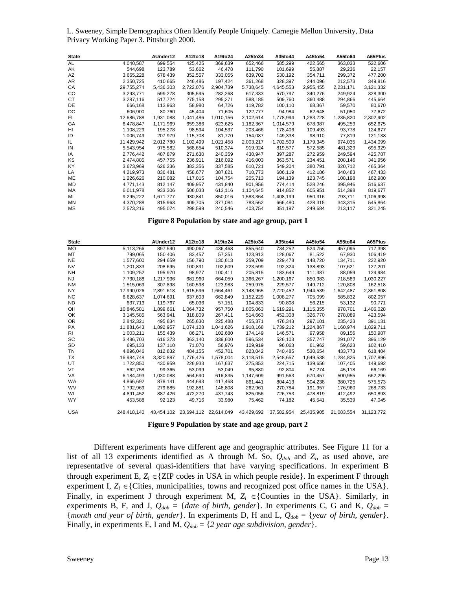L. Sweeney, Simple Demographics Often Identify People Uniquely. Carnegie Mellon University, Data Privacy Working Paper 3. Pittsburgh 2000.

| <b>State</b> |            | AUnder12  | A12to18   | A19to24   | A25to34   | A35to44   | A45to54   | A55to64   | A65Plus   |
|--------------|------------|-----------|-----------|-----------|-----------|-----------|-----------|-----------|-----------|
| AL           | 4,040,587  | 699,554   | 425,425   | 369,639   | 652,466   | 585,299   | 422,565   | 363,033   | 522,606   |
| AK           | 544,698    | 123,789   | 53,662    | 46,478    | 111,790   | 101,699   | 55,887    | 29,236    | 22,157    |
| AZ           | 3,665,228  | 678,439   | 352,557   | 333,055   | 639,702   | 530,192   | 354,711   | 299,372   | 477,200   |
| AR           | 2.350.725  | 410,665   | 246,486   | 197,424   | 361,268   | 328,397   | 244,096   | 212,573   | 349,816   |
| СA           | 29,755,274 | 5,436,303 | 2,722,076 | 2,904,739 | 5,738,645 | 4,645,553 | 2,955,455 | 2,231,171 | 3,121,332 |
| CO           | 3,293,771  | 599,278   | 305,595   | 282,268   | 617,333   | 570,797   | 340,276   | 249,924   | 328,300   |
| СT           | 3.287.116  | 517,724   | 275,158   | 295,271   | 588,185   | 509,760   | 360,488   | 294.866   | 445,664   |
| DE           | 666,168    | 113,963   | 58,980    | 64,726    | 119,782   | 100,110   | 68,367    | 59,570    | 80,670    |
| DC           | 606.900    | 80.760    | 45,404    | 71,605    | 122,777   | 94,984    | 62,648    | 51,050    | 77,672    |
| FL           | 12,686,788 | 1,931,088 | 1,041,486 | 1,010,156 | 2,102,614 | 1,778,994 | 1,283,728 | 1,235,820 | 2,302,902 |
| GA           | 6,478,847  | 1,171,969 | 659,386   | 623,625   | 1,182,367 | 1,014,579 | 678,987   | 495,259   | 652,675   |
| HI           | 1.108.229  | 195,278   | 98,594    | 104,537   | 203.466   | 178,406   | 109,493   | 93,778    | 124,677   |
| ID           | 1.006.749  | 207,979   | 115,708   | 81,770    | 154,087   | 149,338   | 98,910    | 77,819    | 121,138   |
| IL           | 11,429,942 | 2,012,780 | 1,102,499 | 1,021,458 | 2,003,217 | 1,702,509 | 1,179,345 | 974,035   | 1,434,099 |
| IN           | 5,543,954  | 975,582   | 568,654   | 510,374   | 919,924   | 819,577   | 572,585   | 481,329   | 695,929   |
| IA           | 2,776,442  | 487,879   | 271,630   | 240,359   | 430,947   | 397,287   | 272,959   | 249,594   | 425,787   |
| ΚS           | 2,474,885  | 457,755   | 236.911   | 216,092   | 416,003   | 363,571   | 234,451   | 208,146   | 341,956   |
| KY           | 3,673,969  | 626,236   | 383,356   | 337,585   | 610,721   | 549,204   | 380,791   | 320,712   | 465,364   |
| LA           | 4,219,973  | 836,481   | 458,677   | 387,821   | 710.773   | 606,119   | 412,186   | 340.483   | 467,433   |
| ME           | 1,226,626  | 210,082   | 117,015   | 104,754   | 205,713   | 194,139   | 123,745   | 108,198   | 162,980   |
| MD           | 4,771,143  | 812,147   | 409,957   | 431,840   | 901,956   | 774,414   | 528,246   | 395,946   | 516,637   |
| МA           | 6,011,978  | 933,306   | 506,033   | 613,116   | 1,104,645 | 914,852   | 605,951   | 514,398   | 819,677   |
| MI           | 9.295.222  | 1.671.777 | 930,841   | 850,016   | 1,583,364 | 1,408,199 | 950.316   | 793,711   | 1,106,998 |
| MN           | 4,370,288  | 815,963   | 409.705   | 377,084   | 783,562   | 666.480   | 428,315   | 343,315   | 545,864   |
| <b>MS</b>    | 2.573.216  | 495.074   | 298.599   | 240.546   | 403.754   | 351,197   | 249.684   | 213.117   | 321,245   |

**Figure 8 Population by state and age group, part 1** 

| <b>State</b> |             | AUnder12   | A12to18    | A19to24    | A25to34    | A35to44    | A45to54    | A55to64    | A65Plus    |
|--------------|-------------|------------|------------|------------|------------|------------|------------|------------|------------|
| <b>MO</b>    | 5,113,266   | 897.590    | 490,067    | 436.468    | 855.640    | 734.252    | 524.756    | 457.095    | 717.398    |
| МT           | 799,065     | 150,406    | 83.457     | 57,351     | 123,913    | 128,067    | 81.522     | 67.930     | 106,419    |
| <b>NE</b>    | 1,577,600   | 294,659    | 156,790    | 130,613    | 259,709    | 229,478    | 148,720    | 134,711    | 222,920    |
| <b>NV</b>    | 1,201,833   | 208.695    | 100.891    | 102.609    | 223.599    | 192.324    | 138.893    | 107.621    | 127.201    |
| <b>NH</b>    | 1,109,252   | 195,970    | 98.977     | 100.411    | 205.815    | 183.649    | 111,387    | 88.059     | 124,984    |
| NJ.          | 7,730,188   | 1,217,936  | 681.960    | 664.059    | 1,366,267  | 1,200,167  | 850.983    | 718.589    | 1,030,227  |
| <b>NM</b>    | 1,515,069   | 307.898    | 160.598    | 123.983    | 259.975    | 229,577    | 149,712    | 120.808    | 162,518    |
| <b>NY</b>    | 17.990.026  | 2.891.618  | 1.615.696  | 1,664,461  | 3.148.965  | 2.720.452  | 1.944.539  | 1,642,487  | 2,361,808  |
| <b>NC</b>    | 6,628,637   | 1,074,691  | 637,603    | 662,849    | 1,152,229  | 1,008,277  | 705,099    | 585,832    | 802,057    |
| <b>ND</b>    | 637,713     | 119,767    | 65,036     | 57,151     | 104,833    | 90,808     | 56,215     | 53,132     | 90,771     |
| OH           | 10,846,581  | 1,899,661  | 1,064,732  | 957,750    | 1,805,063  | 1,619,291  | 1,115,355  | 978,701    | 1,406,028  |
| OK           | 3,145,585   | 563,941    | 318,809    | 267,411    | 514,663    | 452,308    | 326,770    | 278,089    | 423,594    |
| <b>OR</b>    | 2,842,321   | 495.834    | 265.630    | 225,488    | 455.371    | 476.343    | 297,101    | 235,423    | 391,131    |
| <b>PA</b>    | 11,881,643  | 1,892,957  | 1,074,128  | 1,041,626  | 1,918,168  | 1,739,212  | 1,224,867  | 1,160,974  | 1,829,711  |
| <b>RI</b>    | 1,003,211   | 155,439    | 86,271     | 102,680    | 174,149    | 146,571    | 97,958     | 89,156     | 150,987    |
| SC           | 3,486,703   | 616,373    | 363,140    | 339,600    | 596,534    | 526,103    | 357,747    | 291,077    | 396,129    |
| <b>SD</b>    | 695.133     | 137.110    | 71.070     | 56.976     | 109.919    | 96.063     | 61.962     | 59.623     | 102.410    |
| TN           | 4,896,046   | 812,832    | 484.155    | 452,701    | 823,042    | 740,485    | 530,654    | 433,773    | 618,404    |
| <b>TX</b>    | 16,984,748  | 3,320,887  | 1,776,426  | 1,578,004  | 3,118,515  | 2,548,657  | 1,649,538  | 1,284,825  | 1,707,896  |
| UT           | 1.722.850   | 430.959    | 226,933    | 167,637    | 275,853    | 224,715    | 139,656    | 107.405    | 149,692    |
| VT           | 562,758     | 99,365     | 53,099     | 53,049     | 95,880     | 92,804     | 57,274     | 45,118     | 66,169     |
| VA           | 6,184,493   | 1,030,088  | 564,690    | 616,835    | 1,147,609  | 991,563    | 670,457    | 500,955    | 662,296    |
| <b>WA</b>    | 4.866.692   | 878.141    | 444.693    | 417.468    | 861.441    | 804.413    | 504.238    | 380.725    | 575,573    |
| <b>WV</b>    | 1.792.969   | 279.885    | 192.881    | 148.808    | 262.961    | 270.784    | 191,957    | 176.960    | 268,733    |
| WI           | 4,891,452   | 887,426    | 472,270    | 437,743    | 825,056    | 726,753    | 478,819    | 412,492    | 650,893    |
| <b>WY</b>    | 453,588     | 92,123     | 49,716     | 33,980     | 75,462     | 74,182     | 45,541     | 35,539     | 47,045     |
| <b>USA</b>   | 248.418.140 | 43.454.102 | 23.694.112 | 22.614.049 | 43,429,692 | 37,582,954 | 25,435,905 | 21,083,554 | 31.123.772 |

**Figure 9 Population by state and age group, part 2** 

Different experiments have different age and geographic attributes. See Figure 11 for a list of all 13 experiments identified as A through M. So,  $Q_{dob}$  and  $Z_i$ , as used above, are representative of several quasi-identifiers that have varying specifications. In experiment B through experiment E,  $Z_i \in \{ZIP\}$  codes in USA in which people reside}. In experiment F through experiment I,  $Z_i \in \{ \text{Cities, municipalities, towns and recognized post office names in the USA} \}.$ Finally, in experiment J through experiment M,  $Z_i \in \{$ Counties in the USA $\}$ . Similarly, in experiments B, F, and J,  $Q_{dob} = \{ date \ of \ birth, \ gender\}$ . In experiments C, G and K,  $Q_{dob} =$ {*month and year of birth, gender*}. In experiments D, H and L,  $Q_{\text{dob}} = \{ \text{year of birth, gender} \}.$ Finally, in experiments E, I and M,  $Q_{\text{dob}} = \{2 \text{ year age subdivision}, \text{ gender}\}.$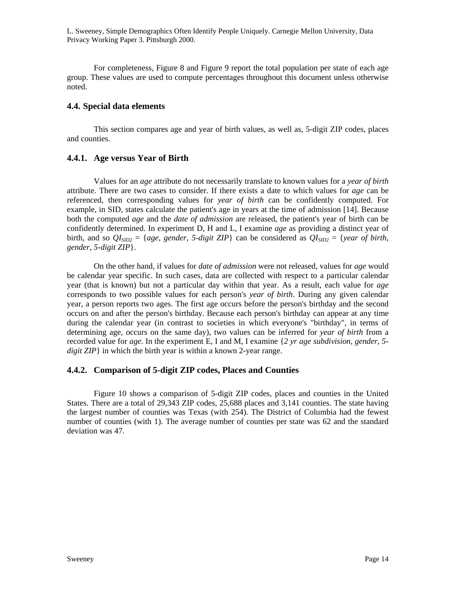For completeness, Figure 8 and Figure 9 report the total population per state of each age group. These values are used to compute percentages throughout this document unless otherwise noted.

### **4.4. Special data elements**

This section compares age and year of birth values, as well as, 5-digit ZIP codes, places and counties.

# **4.4.1. Age versus Year of Birth**

Values for an *age* attribute do not necessarily translate to known values for a *year of birth* attribute. There are two cases to consider. If there exists a date to which values for *age* can be referenced, then corresponding values for *year of birth* can be confidently computed. For example, in SID, states calculate the patient's age in years at the time of admission [14]. Because both the computed *age* and the *date of admission* are released, the patient's year of birth can be confidently determined. In experiment D, H and L, I examine *age* as providing a distinct year of birth, and so  $QI<sub>SID2</sub> = \{age, gender, 5-digit ZIP\}$  can be considered as  $QI<sub>SID2</sub> = \{year of birth,$ *gender*, *5-digit ZIP*}.

On the other hand, if values for *date of admission* were not released, values for *age* would be calendar year specific. In such cases, data are collected with respect to a particular calendar year (that is known) but not a particular day within that year. As a result, each value for *age* corresponds to two possible values for each person's *year of birth*. During any given calendar year, a person reports two ages. The first age occurs before the person's birthday and the second occurs on and after the person's birthday. Because each person's birthday can appear at any time during the calendar year (in contrast to societies in which everyone's "birthday", in terms of determining age, occurs on the same day), two values can be inferred for *year of birth* from a recorded value for *age*. In the experiment E, I and M, I examine {*2 yr age subdivision*, *gender*, *5 digit ZIP*} in which the birth year is within a known 2-year range.

# **4.4.2. Comparison of 5-digit ZIP codes, Places and Counties**

Figure 10 shows a comparison of 5-digit ZIP codes, places and counties in the United States. There are a total of 29,343 ZIP codes, 25,688 places and 3,141 counties. The state having the largest number of counties was Texas (with 254). The District of Columbia had the fewest number of counties (with 1). The average number of counties per state was 62 and the standard deviation was 47.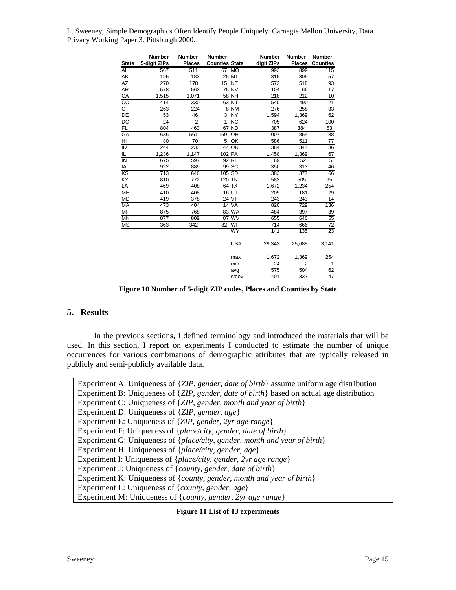| <b>State</b>    | Number<br>5-digit ZIPs | <b>Number</b><br><b>Places</b> | <b>Number</b><br><b>Counties State</b> |            | <b>Number</b><br>digit ZIPs | <b>Number</b><br><b>Places</b> | Number<br><b>Counties</b> |
|-----------------|------------------------|--------------------------------|----------------------------------------|------------|-----------------------------|--------------------------------|---------------------------|
| AL              | 567                    | 511                            | 67                                     | MO         | 993                         | 899                            | 115                       |
| AK              | 195                    | 183                            |                                        | 25 MT      | 315                         | 309                            | 57                        |
| AZ              | 270                    | 178                            | 15                                     | <b>NE</b>  | 572                         | 518                            | 93                        |
| AR              | 578                    | 563                            |                                        | 75 NV      | 104                         | 66                             | $\overline{17}$           |
| CA              | 1,515                  | 1,071                          |                                        | 58 NH      | 218                         | 212                            | 10                        |
| CO              | 414                    | 330                            |                                        | $63$ NJ    | 540                         | 490                            | 21                        |
| <b>CT</b>       | 263                    | 224                            |                                        | 8 NM       | 276                         | 258                            | 33                        |
| DE              | 53                     | 46                             | 3                                      | <b>NY</b>  | 1,594                       | 1,369                          | 62                        |
| $\overline{DC}$ | 24                     | $\overline{2}$                 | $\overline{1}$                         | <b>NC</b>  | 705                         | 624                            | 100                       |
| <b>FL</b>       | 804                    | 463                            |                                        | 67 ND      | 387                         | 384                            | 53                        |
| GA              | 636                    | 561                            | 159                                    | OH         | 1,007                       | 854                            | 88                        |
| HI              | 80                     | 70                             | 5                                      | OK         | 586                         | 511                            | 77                        |
| ID              | 244                    | 233                            | 44                                     | <b>OR</b>  | 384                         | 344                            | 36                        |
| IL              | 1,236                  | 1,147                          | 102 PA                                 |            | 1,458                       | 1,369                          | 67                        |
| IN              | 675                    | 597                            | 92 RI                                  |            | 69                          | 52                             | 5                         |
| IA              | 922                    | 889                            |                                        | 99 SC      | 350                         | 313                            | 46                        |
| $\overline{KS}$ | 713                    | 646                            | $105$ SD                               |            | 383                         | 377                            | 66                        |
| KY              | 810                    | 772                            | $120$ TN                               |            | 583                         | 505                            | 95                        |
| LA              | 469                    | 408                            |                                        | $64$ TX    | 1,672                       | 1,234                          | 254                       |
| ME              | 410                    | 408                            |                                        | 16UT       | 205                         | 181                            | 29                        |
| <b>MD</b>       | 419                    | 378                            |                                        | 24 VT      | 243                         | 243                            | 14                        |
| <b>MA</b>       | 473                    | 404                            | 14                                     | VA         | 820                         | 729                            | 136                       |
| MI              | 875                    | 768                            |                                        | 83 WA      | 484                         | 397                            | 39                        |
| <b>MN</b>       | 877                    | 809                            | 87                                     | <b>WV</b>  | 655                         | 646                            | 55                        |
| <b>MS</b>       | 363                    | 342                            | 82                                     | WI         | 714                         | 666                            | 72                        |
|                 |                        |                                |                                        | <b>WY</b>  | 141                         | 135                            | 23                        |
|                 |                        |                                |                                        | <b>USA</b> | 29,343                      | 25,688                         | 3,141                     |
|                 |                        |                                |                                        | max        | 1,672                       | 1,369                          | 254                       |
|                 |                        |                                |                                        | min        | 24                          | 2                              |                           |
|                 |                        |                                |                                        | avg        | 575                         | 504                            | 62                        |
|                 |                        |                                |                                        | stdev      | 401                         | 337                            | 47                        |

**Figure 10 Number of 5-digit ZIP codes, Places and Counties by State** 

### **5. Results**

In the previous sections, I defined terminology and introduced the materials that will be used. In this section, I report on experiments I conducted to estimate the number of unique occurrences for various combinations of demographic attributes that are typically released in publicly and semi-publicly available data.

Experiment A: Uniqueness of {*ZIP*, *gender*, *date of birth*} assume uniform age distribution Experiment B: Uniqueness of {*ZIP*, *gender*, *date of birth*} based on actual age distribution Experiment C: Uniqueness of {*ZIP*, *gender*, *month and year of birth*} Experiment D: Uniqueness of {*ZIP*, *gender*, *age*} Experiment E: Uniqueness of {*ZIP*, *gender*, *2yr age range*} Experiment F: Uniqueness of {*place/city*, *gender*, *date of birth*} Experiment G: Uniqueness of {*place/city*, *gender*, *month and year of birth*} Experiment H: Uniqueness of {*place/city*, *gender*, *age*} Experiment I: Uniqueness of {*place/city*, *gender*, *2yr age range*} Experiment J: Uniqueness of {*county*, *gender*, *date of birth*} Experiment K: Uniqueness of {*county*, *gender*, *month and year of birth*} Experiment L: Uniqueness of {*county*, *gender*, *age*} Experiment M: Uniqueness of {*county*, *gender*, *2yr age range*}

**Figure 11 List of 13 experiments**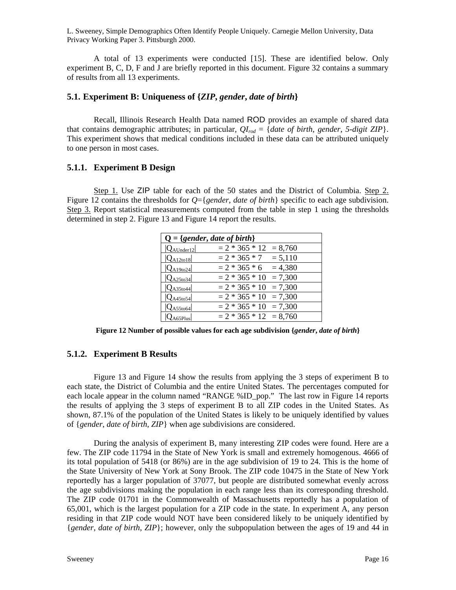A total of 13 experiments were conducted [15]. These are identified below. Only experiment B, C, D, F and J are briefly reported in this document. Figure 32 contains a summary of results from all 13 experiments.

### **5.1. Experiment B: Uniqueness of {***ZIP***,** *gender***,** *date of birth***}**

Recall, Illinois Research Health Data named ROD provides an example of shared data that contains demographic attributes; in particular,  $Q_{I_{rod}} = \{date\ of\ birth\$ , *gender*, 5-digit ZIP $\}$ . This experiment shows that medical conditions included in these data can be attributed uniquely to one person in most cases.

### **5.1.1. Experiment B Design**

Step 1. Use ZIP table for each of the 50 states and the District of Columbia. Step 2. Figure 12 contains the thresholds for *Q*={*gender*, *date of birth*} specific to each age subdivision. Step 3. Report statistical measurements computed from the table in step 1 using the thresholds determined in step 2. Figure 13 and Figure 14 report the results.

| $Q = \{gender, date of birth\}$ |                          |
|---------------------------------|--------------------------|
| $ Q_{\text{AUnder}12} $         | $= 2 * 365 * 12 = 8,760$ |
| $ Q_{A12t018} $                 | $= 2 * 365 * 7 = 5,110$  |
| $ Q_{A19to24} $                 | $= 2 * 365 * 6 = 4,380$  |
| $ Q_{A25t034} $                 | $= 2 * 365 * 10 = 7,300$ |
| $ Q_{A35t044} $                 | $= 2 * 365 * 10 = 7,300$ |
| $ Q_{A45t054} $                 | $= 2 * 365 * 10 = 7,300$ |
| $ Q_{A55} \times 64 $           | $= 2 * 365 * 10 = 7,300$ |
| $Q_{\rm A65Plus} $              | $= 2 * 365 * 12 = 8,760$ |

**Figure 12 Number of possible values for each age subdivision {***gender***,** *date of birth***}** 

### **5.1.2. Experiment B Results**

Figure 13 and Figure 14 show the results from applying the 3 steps of experiment B to each state, the District of Columbia and the entire United States. The percentages computed for each locale appear in the column named "RANGE %ID\_pop." The last row in Figure 14 reports the results of applying the 3 steps of experiment B to all ZIP codes in the United States. As shown, 87.1% of the population of the United States is likely to be uniquely identified by values of {*gender*, *date of birth*, *ZIP*} when age subdivisions are considered.

During the analysis of experiment B, many interesting ZIP codes were found. Here are a few. The ZIP code 11794 in the State of New York is small and extremely homogenous. 4666 of its total population of 5418 (or 86%) are in the age subdivision of 19 to 24. This is the home of the State University of New York at Sony Brook. The ZIP code 10475 in the State of New York reportedly has a larger population of 37077, but people are distributed somewhat evenly across the age subdivisions making the population in each range less than its corresponding threshold. The ZIP code 01701 in the Commonwealth of Massachusetts reportedly has a population of 65,001, which is the largest population for a ZIP code in the state. In experiment A, any person residing in that ZIP code would NOT have been considered likely to be uniquely identified by {*gender*, *date of birth*, *ZIP*}; however, only the subpopulation between the ages of 19 and 44 in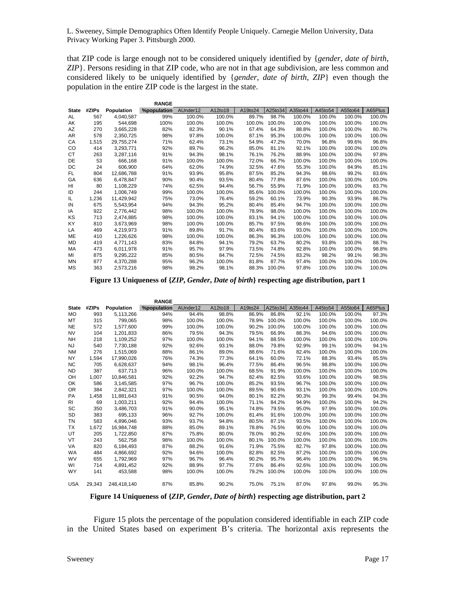**RANGE**

that ZIP code is large enough not to be considered uniquely identified by {*gender*, *date of birth*, *ZIP*}. Persons residing in that ZIP code, who are not in that age subdivision, are less common and considered likely to be uniquely identified by {*gender*, *date of birth*, *ZIP*} even though the population in the entire ZIP code is the largest in the state.

|              |       |            | <b>KANGE</b>       |          |         |         |         |         |         |         |         |
|--------------|-------|------------|--------------------|----------|---------|---------|---------|---------|---------|---------|---------|
| <b>State</b> | #ZIPs | Population | <b>%population</b> | AUnder12 | A12to18 | A19to24 | A25to34 | A35to44 | A45to54 | A55to64 | A65Plus |
| AL           | 567   | 4,040,587  | 99%                | 100.0%   | 100.0%  | 89.7%   | 98.7%   | 100.0%  | 100.0%  | 100.0%  | 100.0%  |
| AK           | 195   | 544.698    | 100%               | 100.0%   | 100.0%  | 100.0%  | 100.0%  | 100.0%  | 100.0%  | 100.0%  | 100.0%  |
| AZ           | 270   | 3,665,228  | 82%                | 82.3%    | 90.1%   | 67.4%   | 64.3%   | 88.8%   | 100.0%  | 100.0%  | 80.7%   |
| AR           | 578   | 2,350,725  | 98%                | 97.8%    | 100.0%  | 87.1%   | 95.3%   | 100.0%  | 100.0%  | 100.0%  | 100.0%  |
| CA           | 1,515 | 29,755,274 | 71%                | 62.4%    | 73.1%   | 54.9%   | 47.2%   | 70.0%   | 96.8%   | 99.6%   | 96.8%   |
| CO           | 414   | 3.293.771  | 92%                | 89.7%    | 96.2%   | 85.0%   | 81.1%   | 92.1%   | 100.0%  | 100.0%  | 100.0%  |
| СT           | 263   | 3,287,116  | 91%                | 94.3%    | 98.1%   | 76.1%   | 76.2%   | 88.9%   | 100.0%  | 100.0%  | 97.8%   |
| DE           | 53    | 666,168    | 91%                | 100.0%   | 100.0%  | 72.0%   | 66.7%   | 100.0%  | 100.0%  | 100.0%  | 100.0%  |
| DC           | 24    | 606,900    | 64%                | 62.0%    | 74.9%   | 32.5%   | 47.6%   | 55.3%   | 100.0%  | 84.9%   | 85.1%   |
| FL           | 804   | 12,686,788 | 91%                | 93.9%    | 95.8%   | 87.5%   | 85.2%   | 94.3%   | 98.6%   | 99.2%   | 83.6%   |
| GA           | 636   | 6,478,847  | 90%                | 90.4%    | 93.5%   | 80.4%   | 77.8%   | 87.6%   | 100.0%  | 100.0%  | 100.0%  |
| HI           | 80    | 1,108,229  | 74%                | 62.5%    | 94.4%   | 56.7%   | 55.9%   | 71.9%   | 100.0%  | 100.0%  | 83.7%   |
| ID           | 244   | 1.006.749  | 99%                | 100.0%   | 100.0%  | 85.6%   | 100.0%  | 100.0%  | 100.0%  | 100.0%  | 100.0%  |
| IL           | 1,236 | 11,429,942 | 75%                | 73.0%    | 76.4%   | 59.2%   | 60.1%   | 73.9%   | 90.3%   | 93.9%   | 86.7%   |
| IN           | 675   | 5,543,954  | 94%                | 94.3%    | 95.2%   | 80.4%   | 85.4%   | 94.7%   | 100.0%  | 100.0%  | 100.0%  |
| ΙA           | 922   | 2,776,442  | 98%                | 100.0%   | 100.0%  | 78.9%   | 98.0%   | 100.0%  | 100.0%  | 100.0%  | 100.0%  |
| ΚS           | 713   | 2,474,885  | 98%                | 100.0%   | 100.0%  | 83.1%   | 94.1%   | 100.0%  | 100.0%  | 100.0%  | 100.0%  |
| KY           | 810   | 3,673,969  | 98%                | 100.0%   | 100.0%  | 85.7%   | 97.5%   | 98.6%   | 100.0%  | 100.0%  | 100.0%  |
| LA           | 469   | 4,219,973  | 91%                | 89.8%    | 91.7%   | 80.4%   | 83.6%   | 93.0%   | 100.0%  | 100.0%  | 100.0%  |
| ME           | 410   | 1,226,626  | 98%                | 100.0%   | 100.0%  | 86.3%   | 96.3%   | 100.0%  | 100.0%  | 100.0%  | 100.0%  |
| MD           | 419   | 4,771,143  | 83%                | 84.8%    | 94.1%   | 79.2%   | 63.7%   | 80.2%   | 93.8%   | 100.0%  | 88.7%   |
| MA           | 473   | 6,011,978  | 91%                | 95.7%    | 97.9%   | 73.5%   | 74.8%   | 92.8%   | 100.0%  | 100.0%  | 98.8%   |
| MI           | 875   | 9,295,222  | 85%                | 80.5%    | 84.7%   | 72.5%   | 74.5%   | 83.2%   | 98.2%   | 99.1%   | 98.3%   |
| MN           | 877   | 4,370,288  | 95%                | 96.2%    | 100.0%  | 81.8%   | 87.7%   | 97.4%   | 100.0%  | 100.0%  | 100.0%  |
| ΜS           | 363   | 2.573.216  | 98%                | 98.2%    | 98.1%   | 88.3%   | 100.0%  | 97.8%   | 100.0%  | 100.0%  | 100.0%  |
|              |       |            |                    |          |         |         |         |         |         |         |         |

**Figure 13 Uniqueness of {***ZIP***,** *Gender***,** *Date of birth***} respecting age distribution, part 1** 

|              |        |             | <b>RANGE</b> |          |         |         |         |         |         |         |         |
|--------------|--------|-------------|--------------|----------|---------|---------|---------|---------|---------|---------|---------|
| <b>State</b> | #ZIPs  | Population  | %population  | AUnder12 | A12to18 | A19to24 | A25to34 | A35to44 | A45to54 | A55to64 | A65Plus |
| <b>MO</b>    | 993    | 5.113.266   | 94%          | 94.4%    | 98.8%   | 86.9%   | 86.8%   | 92.1%   | 100.0%  | 100.0%  | 97.3%   |
| MT           | 315    | 799,065     | 98%          | 100.0%   | 100.0%  | 78.9%   | 100.0%  | 100.0%  | 100.0%  | 100.0%  | 100.0%  |
| <b>NE</b>    | 572    | 1,577,600   | 99%          | 100.0%   | 100.0%  | 90.2%   | 100.0%  | 100.0%  | 100.0%  | 100.0%  | 100.0%  |
| <b>NV</b>    | 104    | 1,201,833   | 86%          | 79.5%    | 94.3%   | 79.5%   | 66.9%   | 88.3%   | 94.6%   | 100.0%  | 100.0%  |
| NH           | 218    | 1,109,252   | 97%          | 100.0%   | 100.0%  | 94.1%   | 88.5%   | 100.0%  | 100.0%  | 100.0%  | 100.0%  |
| NJ           | 540    | 7.730.188   | 92%          | 92.6%    | 93.1%   | 88.0%   | 79.8%   | 92.9%   | 99.1%   | 100.0%  | 94.1%   |
| <b>NM</b>    | 276    | 1,515,069   | 88%          | 86.1%    | 89.0%   | 88.6%   | 71.6%   | 82.4%   | 100.0%  | 100.0%  | 100.0%  |
| <b>NY</b>    | 1,594  | 17,990,026  | 76%          | 74.3%    | 77.3%   | 64.1%   | 60.0%   | 72.1%   | 88.3%   | 93.4%   | 85.5%   |
| <b>NC</b>    | 705    | 6,628,637   | 94%          | 98.1%    | 96.4%   | 77.5%   | 86.4%   | 96.5%   | 98.8%   | 100.0%  | 100.0%  |
| <b>ND</b>    | 387    | 637.713     | 96%          | 100.0%   | 100.0%  | 68.5%   | 91.9%   | 100.0%  | 100.0%  | 100.0%  | 100.0%  |
| OH           | 1,007  | 10,846,581  | 92%          | 92.2%    | 94.7%   | 82.4%   | 82.5%   | 93.6%   | 100.0%  | 100.0%  | 98.5%   |
| OK           | 586    | 3,145,585   | 97%          | 96.7%    | 100.0%  | 85.2%   | 93.5%   | 96.7%   | 100.0%  | 100.0%  | 100.0%  |
| 0R           | 384    | 2,842,321   | 97%          | 100.0%   | 100.0%  | 89.5%   | 90.6%   | 93.1%   | 100.0%  | 100.0%  | 100.0%  |
| PA           | 1,458  | 11,881,643  | 91%          | 90.5%    | 94.0%   | 80.1%   | 82.2%   | 90.3%   | 99.3%   | 99.4%   | 94.3%   |
| RI           | 69     | 1,003,211   | 92%          | 94.4%    | 100.0%  | 71.1%   | 84.2%   | 94.9%   | 100.0%  | 100.0%  | 94.2%   |
| SC           | 350    | 3.486.703   | 91%          | 90.0%    | 95.1%   | 74.8%   | 79.5%   | 95.0%   | 97.9%   | 100.0%  | 100.0%  |
| SD           | 383    | 695,133     | 96%          | 92.7%    | 100.0%  | 81.4%   | 91.6%   | 100.0%  | 100.0%  | 100.0%  | 100.0%  |
| ΤN           | 583    | 4.896.046   | 93%          | 93.7%    | 94.8%   | 80.5%   | 87.1%   | 93.5%   | 100.0%  | 100.0%  | 100.0%  |
| <b>TX</b>    | 1,672  | 16,984,748  | 88%          | 85.0%    | 89.1%   | 78.8%   | 76.5%   | 90.0%   | 100.0%  | 100.0%  | 100.0%  |
| UT           | 205    | 1,722,850   | 87%          | 75.8%    | 80.0%   | 78.0%   | 90.2%   | 92.6%   | 100.0%  | 100.0%  | 100.0%  |
| VT           | 243    | 562.758     | 98%          | 100.0%   | 100.0%  | 80.1%   | 100.0%  | 100.0%  | 100.0%  | 100.0%  | 100.0%  |
| VA           | 820    | 6,184,493   | 87%          | 88.2%    | 91.6%   | 71.9%   | 75.5%   | 82.7%   | 97.8%   | 100.0%  | 100.0%  |
| <b>WA</b>    | 484    | 4,866,692   | 92%          | 94.6%    | 100.0%  | 82.8%   | 82.5%   | 87.2%   | 100.0%  | 100.0%  | 100.0%  |
| <b>WV</b>    | 655    | 1,792,969   | 97%          | 96.7%    | 96.4%   | 90.2%   | 95.7%   | 96.4%   | 100.0%  | 100.0%  | 96.5%   |
| WI           | 714    | 4,891,452   | 92%          | 88.9%    | 97.7%   | 77.6%   | 86.4%   | 92.6%   | 100.0%  | 100.0%  | 100.0%  |
| <b>WY</b>    | 141    | 453,588     | 98%          | 100.0%   | 100.0%  | 79.2%   | 100.0%  | 100.0%  | 100.0%  | 100.0%  | 100.0%  |
| <b>USA</b>   | 29,343 | 248,418,140 | 87%          | 85.8%    | 90.2%   | 75.0%   | 75.1%   | 87.0%   | 97.8%   | 99.0%   | 95.3%   |

**Figure 14 Uniqueness of {***ZIP***,** *Gender***,** *Date of birth***} respecting age distribution, part 2** 

Figure 15 plots the percentage of the population considered identifiable in each ZIP code in the United States based on experiment B's criteria. The horizontal axis represents the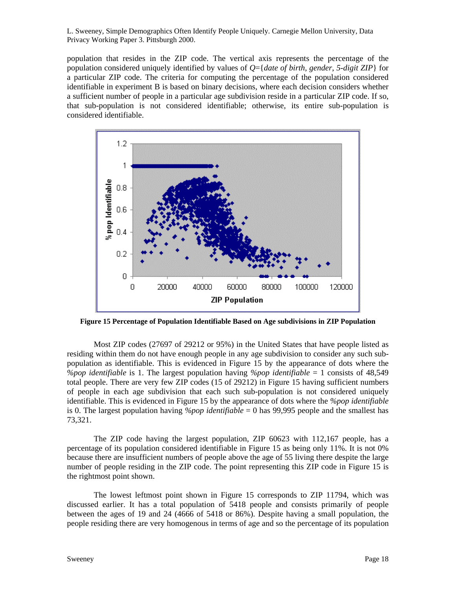population that resides in the ZIP code. The vertical axis represents the percentage of the population considered uniquely identified by values of *Q*={*date of birth*, *gender*, *5-digit ZIP*} for a particular ZIP code. The criteria for computing the percentage of the population considered identifiable in experiment B is based on binary decisions, where each decision considers whether a sufficient number of people in a particular age subdivision reside in a particular ZIP code. If so, that sub-population is not considered identifiable; otherwise, its entire sub-population is considered identifiable.



**Figure 15 Percentage of Population Identifiable Based on Age subdivisions in ZIP Population** 

Most ZIP codes (27697 of 29212 or 95%) in the United States that have people listed as residing within them do not have enough people in any age subdivision to consider any such subpopulation as identifiable. This is evidenced in Figure 15 by the appearance of dots where the *%pop identifiable* is 1. The largest population having *%pop identifiable* = 1 consists of 48,549 total people. There are very few ZIP codes (15 of 29212) in Figure 15 having sufficient numbers of people in each age subdivision that each such sub-population is not considered uniquely identifiable. This is evidenced in Figure 15 by the appearance of dots where the *%pop identifiable* is 0. The largest population having *%pop identifiable* = 0 has 99,995 people and the smallest has 73,321.

The ZIP code having the largest population, ZIP 60623 with 112,167 people, has a percentage of its population considered identifiable in Figure 15 as being only 11%. It is not 0% because there are insufficient numbers of people above the age of 55 living there despite the large number of people residing in the ZIP code. The point representing this ZIP code in Figure 15 is the rightmost point shown.

The lowest leftmost point shown in Figure 15 corresponds to ZIP 11794, which was discussed earlier. It has a total population of 5418 people and consists primarily of people between the ages of 19 and 24 (4666 of 5418 or 86%). Despite having a small population, the people residing there are very homogenous in terms of age and so the percentage of its population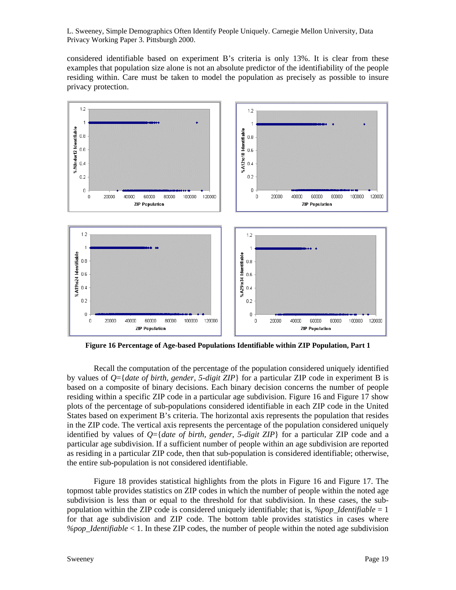considered identifiable based on experiment B's criteria is only 13%. It is clear from these examples that population size alone is not an absolute predictor of the identifiability of the people residing within. Care must be taken to model the population as precisely as possible to insure privacy protection.



**Figure 16 Percentage of Age-based Populations Identifiable within ZIP Population, Part 1** 

Recall the computation of the percentage of the population considered uniquely identified by values of *Q*={*date of birth*, *gender*, *5-digit ZIP*} for a particular ZIP code in experiment B is based on a composite of binary decisions. Each binary decision concerns the number of people residing within a specific ZIP code in a particular age subdivision. Figure 16 and Figure 17 show plots of the percentage of sub-populations considered identifiable in each ZIP code in the United States based on experiment B's criteria. The horizontal axis represents the population that resides in the ZIP code. The vertical axis represents the percentage of the population considered uniquely identified by values of *Q*={*date of birth*, *gender*, *5-digit ZIP*} for a particular ZIP code and a particular age subdivision. If a sufficient number of people within an age subdivision are reported as residing in a particular ZIP code, then that sub-population is considered identifiable; otherwise, the entire sub-population is not considered identifiable.

Figure 18 provides statistical highlights from the plots in Figure 16 and Figure 17. The topmost table provides statistics on ZIP codes in which the number of people within the noted age subdivision is less than or equal to the threshold for that subdivision. In these cases, the subpopulation within the ZIP code is considered uniquely identifiable; that is, *%pop\_Identifiable* = 1 for that age subdivision and ZIP code. The bottom table provides statistics in cases where  $\% pop\ I dentifiable < 1$ . In these ZIP codes, the number of people within the noted age subdivision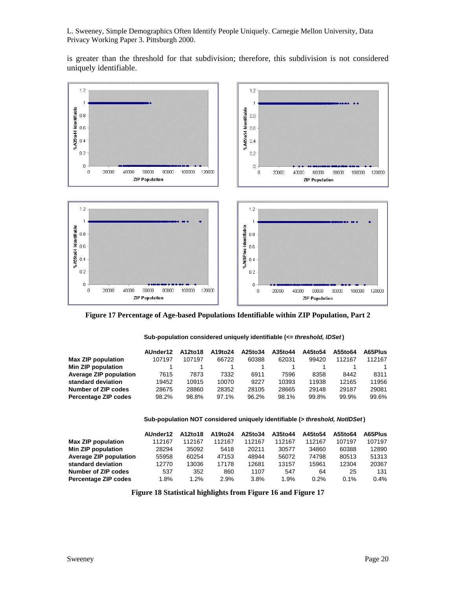is greater than the threshold for that subdivision; therefore, this subdivision is not considered uniquely identifiable.



**Figure 17 Percentage of Age-based Populations Identifiable within ZIP Population, Part 2** 

#### **Sub-population considered uniquely identifiable (***<= threshold, IDSet* **)**

|                        | AUnder12 | A12to18 | A19to24 | A25to34 | A35to44 | A45to54 | A55to64 | A65Plus |
|------------------------|----------|---------|---------|---------|---------|---------|---------|---------|
| Max ZIP population     | 107197   | 107197  | 66722   | 60388   | 62031   | 99420   | 112167  | 112167  |
| Min ZIP population     |          |         |         |         |         |         |         |         |
| Average ZIP population | 7615     | 7873    | 7332    | 6911    | 7596    | 8358    | 8442    | 8311    |
| standard deviation     | 19452    | 10915   | 10070   | 9227    | 10393   | 11938   | 12165   | 11956   |
| Number of ZIP codes    | 28675    | 28860   | 28352   | 28105   | 28665   | 29148   | 29187   | 29081   |
| Percentage ZIP codes   | 98.2%    | 98.8%   | 97.1%   | 96.2%   | 98.1%   | 99.8%   | 99.9%   | 99.6%   |

#### **Sub-population NOT considered uniquely identifiable (***> threshold, NotIDSet* **)**

|                        | AUnder12 | A12to18 | A19to24 | A25to34 | A35to44 | A45to54 | A55to64 | A65Plus |
|------------------------|----------|---------|---------|---------|---------|---------|---------|---------|
| Max ZIP population     | 112167   | 112167  | 112167  | 112167  | 112167  | 112167  | 107197  | 107197  |
| Min ZIP population     | 28294    | 35092   | 5418    | 20211   | 30577   | 34860   | 60388   | 12890   |
| Average ZIP population | 55958    | 60254   | 47153   | 48944   | 56072   | 74798   | 80513   | 51313   |
| standard deviation     | 12770    | 13036   | 17178   | 12681   | 13157   | 15961   | 12304   | 20367   |
| Number of ZIP codes    | 537      | 352     | 860     | 1107    | 547     | 64      | 25      | 131     |
| Percentage ZIP codes   | 1.8%     | 1.2%    | 2.9%    | 3.8%    | 1.9%    | $0.2\%$ | 0.1%    | 0.4%    |
|                        |          |         |         |         |         |         |         |         |

**Figure 18 Statistical highlights from Figure 16 and Figure 17**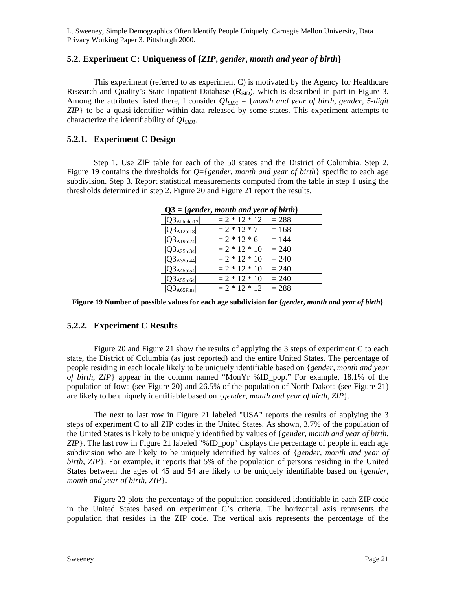# **5.2. Experiment C: Uniqueness of {***ZIP***,** *gender***,** *month and year of birth***}**

This experiment (referred to as experiment C) is motivated by the Agency for Healthcare Research and Quality's State Inpatient Database  $(R_{\text{SID}})$ , which is described in part in Figure 3. Among the attributes listed there, I consider  $QI_{SIDI} = \{month \ and \ year \ of \ birth, \ gender, 5-digit \}$ *ZIP*} to be a quasi-identifier within data released by some states. This experiment attempts to characterize the identifiability of  $OIs_{ID1}$ .

# **5.2.1. Experiment C Design**

Step 1. Use ZIP table for each of the 50 states and the District of Columbia. Step 2. Figure 19 contains the thresholds for *Q*={*gender*, *month and year of birth*} specific to each age subdivision. Step 3. Report statistical measurements computed from the table in step 1 using the thresholds determined in step 2. Figure 20 and Figure 21 report the results.

|                                                           | $Q3 = \{gender, month and year of birth\}$ |         |
|-----------------------------------------------------------|--------------------------------------------|---------|
| $ Q3_{\text{AUnder}12} $                                  | $= 2 * 12 * 12$                            | $= 288$ |
| $ Q3_{A12\times18} $                                      | $= 2 * 12 * 7$                             | $= 168$ |
| $ Q3_{A19to24} $                                          | $= 2 * 12 * 6$                             | $= 144$ |
| $ Q3_{A25t034} $                                          | $= 2 * 12 * 10$                            | $= 240$ |
| $ Q3_{A35\textrm{to}44} $                                 | $= 2 * 12 * 10$                            | $= 240$ |
| $ Q3_{A45t054} $                                          | $= 2 * 12 * 10$                            | $= 240$ |
| $Q3_{A55\t\t\t\t\t\t\t\t\t\t\t\t\t\t\t\t\t\t\t\t\t\t064}$ | $= 2 * 12 * 10$                            | $= 240$ |
| $23_{A65$ Plus                                            | $= 2 * 12 * 12$                            | $= 288$ |
|                                                           |                                            |         |

**Figure 19 Number of possible values for each age subdivision for {***gender***,** *month and year of birth***}** 

# **5.2.2. Experiment C Results**

Figure 20 and Figure 21 show the results of applying the 3 steps of experiment C to each state, the District of Columbia (as just reported) and the entire United States. The percentage of people residing in each locale likely to be uniquely identifiable based on {*gender*, *month and year of birth*, *ZIP*} appear in the column named "MonYr %ID\_pop." For example, 18.1% of the population of Iowa (see Figure 20) and 26.5% of the population of North Dakota (see Figure 21) are likely to be uniquely identifiable based on {*gender*, *month and year of birth*, *ZIP*}.

The next to last row in Figure 21 labeled "USA" reports the results of applying the 3 steps of experiment C to all ZIP codes in the United States. As shown, 3.7% of the population of the United States is likely to be uniquely identified by values of {*gender*, *month and year of birth*, *ZIP*}. The last row in Figure 21 labeled "%ID\_pop" displays the percentage of people in each age subdivision who are likely to be uniquely identified by values of {*gender*, *month and year of birth*, *ZIP*}. For example, it reports that 5% of the population of persons residing in the United States between the ages of 45 and 54 are likely to be uniquely identifiable based on {*gender*, *month and year of birth*, *ZIP*}.

Figure 22 plots the percentage of the population considered identifiable in each ZIP code in the United States based on experiment C's criteria. The horizontal axis represents the population that resides in the ZIP code. The vertical axis represents the percentage of the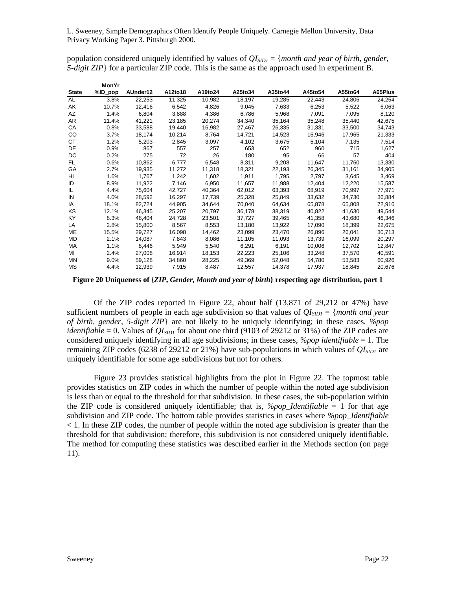population considered uniquely identified by values of  $QI_{SIDI} = \{month \ and \ year \ of \ birth, \ gender,$ *5-digit ZIP*} for a particular ZIP code. This is the same as the approach used in experiment B.

|              | MonYr   |          |         |         |         |         |         |         |         |
|--------------|---------|----------|---------|---------|---------|---------|---------|---------|---------|
| <b>State</b> | %ID_pop | AUnder12 | A12to18 | A19to24 | A25to34 | A35to44 | A45to54 | A55to64 | A65Plus |
| AL           | 3.8%    | 22,253   | 11,325  | 10,982  | 18,197  | 19,285  | 22,443  | 24,806  | 24,254  |
| AK           | 10.7%   | 12,416   | 6,542   | 4,826   | 9,045   | 7,633   | 6,253   | 5,522   | 6,063   |
| AZ           | 1.4%    | 6,804    | 3,888   | 4,386   | 6,786   | 5,968   | 7,091   | 7,095   | 8,120   |
| AR           | 11.4%   | 41,221   | 23,185  | 20,274  | 34,340  | 35,164  | 35,248  | 35,440  | 42,675  |
| CA           | 0.8%    | 33,588   | 19,440  | 16,982  | 27,467  | 26,335  | 31,331  | 33,500  | 34,743  |
| CO           | 3.7%    | 18,174   | 10,214  | 8,764   | 14,721  | 14,523  | 16,946  | 17,965  | 21,333  |
| CT           | 1.2%    | 5,203    | 2,845   | 3,097   | 4,102   | 3,675   | 5,104   | 7,135   | 7,514   |
| DE           | 0.9%    | 867      | 557     | 257     | 653     | 652     | 960     | 715     | 1,627   |
| DC           | 0.2%    | 275      | 72      | 26      | 180     | 95      | 66      | 57      | 404     |
| FL           | 0.6%    | 10,862   | 6,777   | 6,548   | 8,311   | 9,208   | 11,647  | 11,760  | 13,330  |
| GA           | 2.7%    | 19,935   | 11,272  | 11,318  | 18,321  | 22,193  | 26,345  | 31,161  | 34,905  |
| HI           | 1.6%    | 1,767    | 1,242   | 1,602   | 1,911   | 1,795   | 2,797   | 3,645   | 3,469   |
| ID           | 8.9%    | 11,922   | 7,146   | 6,950   | 11,657  | 11,988  | 12,404  | 12,220  | 15,587  |
| IL           | 4.4%    | 75,604   | 42,727  | 40,364  | 62,012  | 63,393  | 68,919  | 70,997  | 77,971  |
| IN           | 4.0%    | 28,592   | 16,297  | 17,739  | 25,328  | 25,849  | 33,632  | 34,730  | 36,884  |
| ΙA           | 18.1%   | 82,724   | 44,905  | 34,644  | 70,040  | 64,634  | 65,878  | 65,808  | 72,916  |
| ΚS           | 12.1%   | 46,345   | 25,207  | 20,797  | 36,178  | 38,319  | 40,822  | 41,630  | 49,544  |
| KY           | 8.3%    | 48,404   | 24,728  | 23,501  | 37,727  | 39,465  | 41,358  | 43,680  | 46,346  |
| LA           | 2.8%    | 15,800   | 8,567   | 8,553   | 13,180  | 13,922  | 17,090  | 18,399  | 22,675  |
| ME           | 15.5%   | 29,727   | 16,098  | 14,462  | 23,099  | 23,470  | 26,896  | 26,041  | 30,713  |
| MD           | 2.1%    | 14,087   | 7,843   | 8,086   | 11,105  | 11,093  | 13,739  | 16,099  | 20,297  |
| МA           | 1.1%    | 8,446    | 5,949   | 5,540   | 6,291   | 6,191   | 10,006  | 12,702  | 12,847  |
| ΜI           | 2.4%    | 27,008   | 16,914  | 18,153  | 22,223  | 25,106  | 33,248  | 37,570  | 40,591  |
| MN           | 9.0%    | 59,128   | 34,860  | 28,225  | 49,369  | 52,048  | 54,780  | 53,583  | 60,926  |
| МS           | 4.4%    | 12,939   | 7,915   | 8,487   | 12,557  | 14,378  | 17,937  | 18,845  | 20,676  |

**Figure 20 Uniqueness of {***ZIP***,** *Gender***,** *Month and year of birth***} respecting age distribution, part 1** 

Of the ZIP codes reported in Figure 22, about half (13,871 of 29,212 or 47%) have sufficient numbers of people in each age subdivision so that values of  $QI_{SIDI} = \{month \ and \ year$ *of birth*, *gender*, *5-digit ZIP*} are not likely to be uniquely identifying; in these cases, *%pop identifiable* = 0. Values of  $QI<sub>SIDI</sub>$  for about one third (9103 of 29212 or 31%) of the ZIP codes are considered uniquely identifying in all age subdivisions; in these cases, *%pop identifiable* = 1. The remaining ZIP codes (6238 of 29212 or 21%) have sub-populations in which values of  $QI_{SIDI}$  are uniquely identifiable for some age subdivisions but not for others.

Figure 23 provides statistical highlights from the plot in Figure 22. The topmost table provides statistics on ZIP codes in which the number of people within the noted age subdivision is less than or equal to the threshold for that subdivision. In these cases, the sub-population within the ZIP code is considered uniquely identifiable; that is,  $\% pop\;Identifiable = 1$  for that age subdivision and ZIP code. The bottom table provides statistics in cases where *%pop\_Identifiable* < 1. In these ZIP codes, the number of people within the noted age subdivision is greater than the threshold for that subdivision; therefore, this subdivision is not considered uniquely identifiable. The method for computing these statistics was described earlier in the Methods section (on page 11).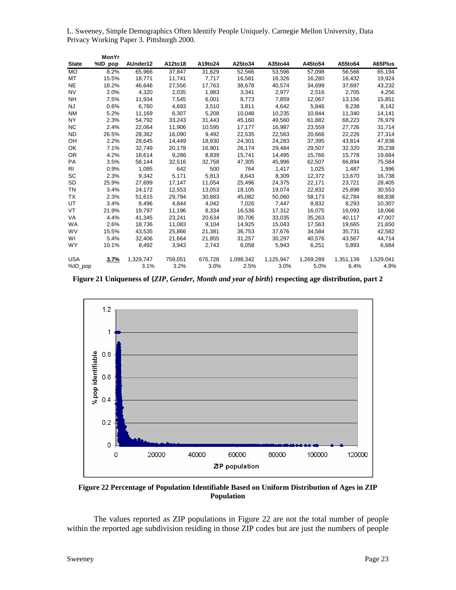|              | MonYr   |           |         |         |           |           |           |           |           |
|--------------|---------|-----------|---------|---------|-----------|-----------|-----------|-----------|-----------|
| <b>State</b> | %ID_pop | AUnder12  | A12to18 | A19to24 | A25to34   | A35to44   | A45to54   | A55to64   | A65Plus   |
| <b>MO</b>    | 8.2%    | 65,966    | 37,847  | 31,629  | 52,566    | 53,596    | 57,098    | 56,566    | 65,194    |
| МT           | 15.5%   | 18,771    | 11,741  | 7,717   | 16,581    | 16,326    | 16,280    | 16,432    | 19,924    |
| <b>NE</b>    | 18.2%   | 46,646    | 27,556  | 17,763  | 38,678    | 40,574    | 34,699    | 37,697    | 43,232    |
| <b>NV</b>    | 2.0%    | 4,320     | 2,035   | 1,983   | 3,341     | 2,977     | 2,516     | 2,705     | 4,256     |
| <b>NH</b>    | 7.5%    | 11,934    | 7,545   | 6,001   | 8,773     | 7,859     | 12,067    | 13,156    | 15,851    |
| <b>NJ</b>    | 0.6%    | 6,760     | 4,693   | 3,510   | 3,811     | 4,642     | 5,846     | 8,238     | 8,142     |
| <b>NM</b>    | 5.2%    | 11,169    | 6,307   | 5,208   | 10,048    | 10,235    | 10,844    | 11,340    | 14,141    |
| <b>NY</b>    | 2.3%    | 54,792    | 33,243  | 31,443  | 45,160    | 49,560    | 61,882    | 68,223    | 76,979    |
| NC.          | 2.4%    | 22,064    | 11,906  | 10,595  | 17,177    | 16,987    | 23,559    | 27,726    | 31,714    |
| <b>ND</b>    | 26.5%   | 28,362    | 16,090  | 9,492   | 22,535    | 22,563    | 20,666    | 22,226    | 27,314    |
| OH           | 2.2%    | 28,645    | 14,449  | 18,930  | 24,301    | 24,283    | 37,395    | 43,814    | 47,838    |
| OK           | 7.1%    | 32,749    | 20,178  | 16,901  | 26,174    | 29,484    | 29,507    | 32,320    | 35,238    |
| <b>OR</b>    | 4.2%    | 18,614    | 9,286   | 8,839   | 15,741    | 14,495    | 15,766    | 15,778    | 19,684    |
| PA           | 3.5%    | 58,144    | 32,516  | 32,758  | 47,305    | 45,996    | 62,507    | 66,894    | 75,584    |
| RI           | 0.9%    | 1,085     | 642     | 500     | 764       | 1,417     | 1,025     | 1,487     | 1,996     |
| SC           | 2.3%    | 9,342     | 5,171   | 5,813   | 8,643     | 8,309     | 12,372    | 13,670    | 16,738    |
| SD           | 25.9%   | 27,699    | 17,147  | 11,054  | 25,496    | 24,375    | 22,171    | 23,721    | 28,405    |
| ΤN           | 3.4%    | 24,172    | 12,553  | 13,053  | 18,105    | 19,074    | 22,832    | 25,898    | 30,553    |
| ТX           | 2.3%    | 51,615    | 29,794  | 30,883  | 45,082    | 50,060    | 58,173    | 62,784    | 68,838    |
| UT           | 3.4%    | 8,496     | 4,844   | 4,042   | 7,026     | 7,447     | 8,832     | 8,293     | 10,307    |
| VT           | 21.9%   | 19,797    | 11,196  | 8,334   | 16,536    | 17,312    | 16,075    | 16,093    | 18,066    |
| <b>VA</b>    | 4.4%    | 41,345    | 23,241  | 20,634  | 30,706    | 33,035    | 35,263    | 40,117    | 47,007    |
| <b>WA</b>    | 2.6%    | 18,736    | 11,083  | 9,104   | 14,925    | 15,043    | 17,563    | 19,665    | 21,650    |
| <b>WV</b>    | 15.5%   | 43,535    | 25,866  | 21,381  | 36,753    | 37,676    | 34,584    | 35,731    | 42,582    |
| WI           | 5.4%    | 32,406    | 21.664  | 21,855  | 31,257    | 30,297    | 40,576    | 43.567    | 44,714    |
| <b>WY</b>    | 10.1%   | 8,492     | 3,943   | 2,743   | 6,058     | 5,943     | 6,251     | 5,893     | 6,684     |
| <b>USA</b>   | 3.7%    | 1,329,747 | 759,051 | 676,728 | 1,098,342 | 1,125,947 | 1,269,289 | 1,351,139 | 1,529,041 |
| %ID pop      |         | 3.1%      | 3.2%    | 3.0%    | 2.5%      | 3.0%      | 5.0%      | 6.4%      | 4.9%      |

**Figure 21 Uniqueness of {***ZIP***,** *Gender***,** *Month and year of birth***} respecting age distribution, part 2** 



**Figure 22 Percentage of Population Identifiable Based on Uniform Distribution of Ages in ZIP Population** 

The values reported as ZIP populations in Figure 22 are not the total number of people within the reported age subdivision residing in those ZIP codes but are just the numbers of people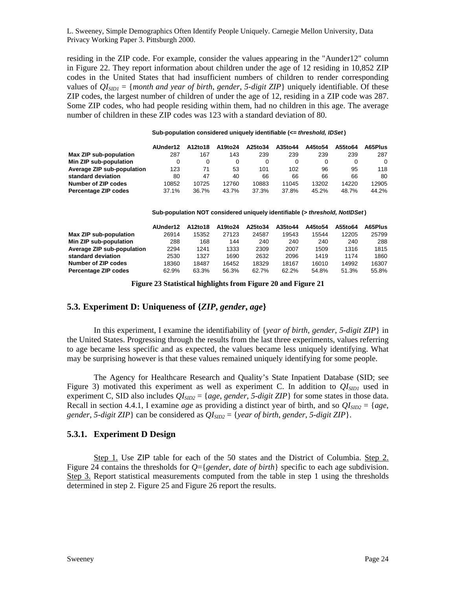residing in the ZIP code. For example, consider the values appearing in the "Aunder12" column in Figure 22. They report information about children under the age of 12 residing in 10,852 ZIP codes in the United States that had insufficient numbers of children to render corresponding values of *QISID1* = {*month and year of birth*, *gender*, *5-digit ZIP*} uniquely identifiable. Of these ZIP codes, the largest number of children of under the age of 12, residing in a ZIP code was 287. Some ZIP codes, who had people residing within them, had no children in this age. The average number of children in these ZIP codes was 123 with a standard deviation of 80.

#### **Sub-population considered uniquely identifiable (***<= threshold, IDSet* **)**

|                            | AUnder12 | A12to18 | A19to24 | A25to34 | A35to44 | A45to54 | A55to64 | A65Plus |
|----------------------------|----------|---------|---------|---------|---------|---------|---------|---------|
| Max ZIP sub-population     | 287      | 167     | 143     | 239     | 239     | 239     | 239     | 287     |
| Min ZIP sub-population     |          | 0       |         |         |         | 0       |         | 0       |
| Average ZIP sub-population | 123      | 71      | 53      | 101     | 102     | 96      | 95      | 118     |
| standard deviation         | 80       | 47      | 40      | 66      | 66      | 66      | 66      | 80      |
| Number of ZIP codes        | 10852    | 10725   | 12760   | 10883   | 11045   | 13202   | 14220   | 12905   |
| Percentage ZIP codes       | 37.1%    | 36.7%   | 43.7%   | 37.3%   | 37.8%   | 45.2%   | 48.7%   | 44.2%   |

**Sub-population NOT considered uniquely identifiable (***> threshold, NotIDSet* **)**

|                            | AUnder12 | A12to18 | A19to24 | A25to34 | A35to44 | A45to54 | A55to64 | A65Plus |
|----------------------------|----------|---------|---------|---------|---------|---------|---------|---------|
| Max ZIP sub-population     | 26914    | 15352   | 27123   | 24587   | 19543   | 15544   | 12205   | 25799   |
| Min ZIP sub-population     | 288      | 168     | 144     | 240     | 240     | 240     | 240     | 288     |
| Average ZIP sub-population | 2294     | 1241    | 1333    | 2309    | 2007    | 1509    | 1316    | 1815    |
| standard deviation         | 2530     | 1327    | 1690    | 2632    | 2096    | 1419    | 1174    | 1860    |
| Number of ZIP codes        | 18360    | 18487   | 16452   | 18329   | 18167   | 16010   | 14992   | 16307   |
| Percentage ZIP codes       | 62.9%    | 63.3%   | 56.3%   | 62.7%   | 62.2%   | 54.8%   | 51.3%   | 55.8%   |

**Figure 23 Statistical highlights from Figure 20 and Figure 21** 

# **5.3. Experiment D: Uniqueness of {***ZIP***,** *gender***,** *age***}**

In this experiment, I examine the identifiability of {*year of birth*, *gender*, *5-digit ZIP*} in the United States. Progressing through the results from the last three experiments, values referring to age became less specific and as expected, the values became less uniquely identifying. What may be surprising however is that these values remained uniquely identifying for some people.

The Agency for Healthcare Research and Quality's State Inpatient Database (SID; see Figure 3) motivated this experiment as well as experiment C. In addition to  $O(\epsilon_{SD1})$  used in experiment C, SID also includes  $QI_{SID2} = \{age, gender, 5-digit ZIP\}$  for some states in those data. Recall in section 4.4.1, I examine *age* as providing a distinct year of birth, and so  $QI_{SID2} = \{age,$ *gender*, *5-digit ZIP*} can be considered as  $QI<sub>SID2</sub> = \{year of birth, gender, 5-digit ZIP\}.$ 

# **5.3.1. Experiment D Design**

Step 1. Use ZIP table for each of the 50 states and the District of Columbia. Step 2. Figure 24 contains the thresholds for *Q*={*gender*, *date of birth*} specific to each age subdivision. Step 3. Report statistical measurements computed from the table in step 1 using the thresholds determined in step 2. Figure 25 and Figure 26 report the results.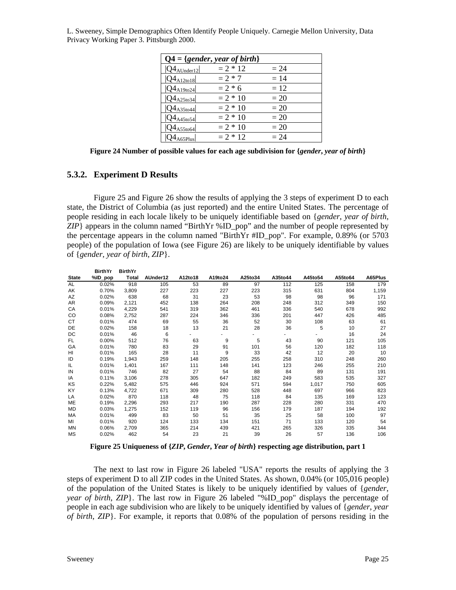|                          | $Q4 = \{gender, year of birth\}$ |        |  |
|--------------------------|----------------------------------|--------|--|
| $ Q4_{\text{AUnder}12} $ | $= 2 * 12$                       | $= 24$ |  |
| $ Q4_{A12\t018} $        | $= 2 * 7$                        | $= 14$ |  |
| $ Q4_{A19to24} $         | $= 2 * 6$                        | $= 12$ |  |
| $ Q4_{A25t034} $         | $= 2 * 10$                       | $=20$  |  |
| $Q4_{A35t044}$           | $= 2 * 10$                       | $=20$  |  |
| $ Q4_{A45t054} $         | $= 2 * 10$                       | $=20$  |  |
| $Q4_{A55\times64}$       | $= 2 * 10$                       | $=20$  |  |
| $24_{\rm A65Plus}$       | $= 2 * 12$                       | $= 24$ |  |

**Figure 24 Number of possible values for each age subdivision for {***gender***,** *year of birth***}** 

# **5.3.2. Experiment D Results**

Figure 25 and Figure 26 show the results of applying the 3 steps of experiment D to each state, the District of Columbia (as just reported) and the entire United States. The percentage of people residing in each locale likely to be uniquely identifiable based on {*gender*, *year of birth*,  $ZIP$ } appears in the column named "BirthYr %ID\_pop" and the number of people represented by the percentage appears in the column named "BirthYr #ID\_pop". For example, 0.89% (or 5703 people) of the population of Iowa (see Figure 26) are likely to be uniquely identifiable by values of {*gender*, *year of birth*, *ZIP*}.

|               | <b>BirthYr</b> | <b>BirthYr</b> |          |         |         |         |         |         |         |         |
|---------------|----------------|----------------|----------|---------|---------|---------|---------|---------|---------|---------|
| <b>State</b>  | %ID_pop        | Total          | AUnder12 | A12to18 | A19to24 | A25to34 | A35to44 | A45to54 | A55to64 | A65Plus |
| AL.           | 0.02%          | 918            | 105      | 53      | 89      | 97      | 112     | 125     | 158     | 179     |
| AK            | 0.70%          | 3,809          | 227      | 223     | 227     | 223     | 315     | 631     | 804     | 1,159   |
| AZ            | 0.02%          | 638            | 68       | 31      | 23      | 53      | 98      | 98      | 96      | 171     |
| AR            | 0.09%          | 2,121          | 452      | 138     | 264     | 208     | 248     | 312     | 349     | 150     |
| CA            | 0.01%          | 4,229          | 541      | 319     | 362     | 461     | 336     | 540     | 678     | 992     |
| <sub>CO</sub> | 0.08%          | 2,752          | 287      | 224     | 346     | 336     | 201     | 447     | 426     | 485     |
| СT            | 0.01%          | 474            | 69       | 55      | 36      | 52      | 30      | 108     | 63      | 61      |
| DE            | 0.02%          | 158            | 18       | 13      | 21      | 28      | 36      | 5       | 10      | 27      |
| DC            | 0.01%          | 46             | 6        |         | ٠       |         |         |         | 16      | 24      |
| FL.           | 0.00%          | 512            | 76       | 63      | 9       | 5       | 43      | 90      | 121     | 105     |
| GA            | 0.01%          | 780            | 83       | 29      | 91      | 101     | 56      | 120     | 182     | 118     |
| HI            | 0.01%          | 165            | 28       | 11      | 9       | 33      | 42      | 12      | 20      | 10      |
| ID            | 0.19%          | 1,943          | 259      | 148     | 205     | 255     | 258     | 310     | 248     | 260     |
| IL            | 0.01%          | 1,401          | 167      | 111     | 148     | 141     | 123     | 246     | 255     | 210     |
| IN            | 0.01%          | 746            | 82       | 27      | 54      | 88      | 84      | 89      | 131     | 191     |
| IA            | 0.11%          | 3,106          | 278      | 305     | 647     | 182     | 249     | 583     | 535     | 327     |
| KS            | 0.22%          | 5,482          | 575      | 446     | 924     | 571     | 594     | 1,017   | 750     | 605     |
| KY            | 0.13%          | 4,722          | 671      | 309     | 280     | 528     | 448     | 697     | 966     | 823     |
| LA            | 0.02%          | 870            | 118      | 48      | 75      | 118     | 84      | 135     | 169     | 123     |
| ME            | 0.19%          | 2,296          | 293      | 217     | 190     | 287     | 228     | 280     | 331     | 470     |
| MD            | 0.03%          | 1,275          | 152      | 119     | 96      | 156     | 179     | 187     | 194     | 192     |
| MA            | 0.01%          | 499            | 83       | 50      | 51      | 35      | 25      | 58      | 100     | 97      |
| MI            | 0.01%          | 920            | 124      | 133     | 134     | 151     | 71      | 133     | 120     | 54      |
| <b>MN</b>     | 0.06%          | 2,709          | 365      | 214     | 439     | 421     | 265     | 326     | 335     | 344     |
| MS            | 0.02%          | 462            | 54       | 23      | 21      | 39      | 26      | 57      | 136     | 106     |

**Figure 25 Uniqueness of {***ZIP***,** *Gender***,** *Year of birth***} respecting age distribution, part 1** 

The next to last row in Figure 26 labeled "USA" reports the results of applying the 3 steps of experiment D to all ZIP codes in the United States. As shown, 0.04% (or 105,016 people) of the population of the United States is likely to be uniquely identified by values of {*gender*, *year of birth*, *ZIP*}. The last row in Figure 26 labeled "%ID\_pop" displays the percentage of people in each age subdivision who are likely to be uniquely identified by values of {*gender*, *year of birth*, *ZIP*}. For example, it reports that 0.08% of the population of persons residing in the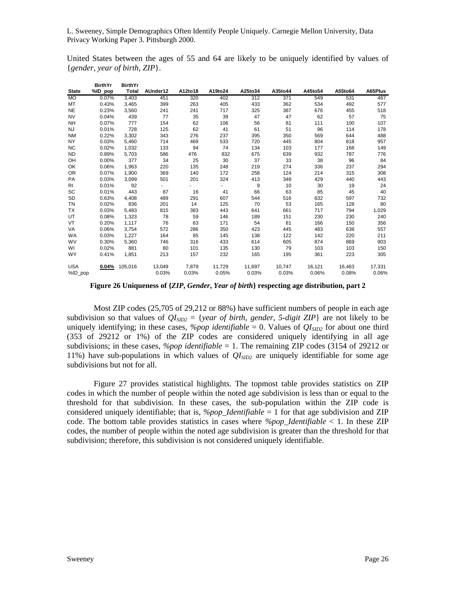United States between the ages of 55 and 64 are likely to be uniquely identified by values of {*gender*, *year of birth*, *ZIP*}.

|                | BirthYr | BirthYr      |                          |         |         |                  |         |         |         |         |
|----------------|---------|--------------|--------------------------|---------|---------|------------------|---------|---------|---------|---------|
| <b>State</b>   | %ID_pop | <b>Total</b> | AUnder12                 | A12to18 | A19to24 | A25to34          | A35to44 | A45to54 | A55to64 | A65Plus |
| <b>MO</b>      | 0.07%   | 3,403        | 451                      | 320     | 402     | $\overline{312}$ | 371     | 549     | 531     | 467     |
| MT             | 0.43%   | 3,465        | 399                      | 263     | 405     | 433              | 362     | 534     | 492     | 577     |
| <b>NE</b>      | 0.23%   | 3,560        | 241                      | 241     | 717     | 325              | 387     | 676     | 455     | 518     |
| <b>NV</b>      | 0.04%   | 439          | 77                       | 35      | 39      | 47               | 47      | 62      | 57      | 75      |
| <b>NH</b>      | 0.07%   | 777          | 154                      | 62      | 106     | 56               | 81      | 111     | 100     | 107     |
| NJ             | 0.01%   | 728          | 125                      | 62      | 41      | 61               | 51      | 96      | 114     | 178     |
| <b>NM</b>      | 0.22%   | 3,302        | 343                      | 276     | 237     | 395              | 350     | 569     | 644     | 488     |
| <b>NY</b>      | 0.03%   | 5,460        | 714                      | 469     | 533     | 720              | 445     | 804     | 818     | 957     |
| <b>NC</b>      | 0.02%   | 1,032        | 133                      | 94      | 74      | 134              | 103     | 177     | 168     | 149     |
| <b>ND</b>      | 0.89%   | 5,703        | 586                      | 476     | 832     | 675              | 639     | 932     | 787     | 776     |
| OH             | 0.00%   | 377          | 34                       | 25      | 30      | 37               | 33      | 38      | 96      | 84      |
| OK             | 0.06%   | 1,963        | 220                      | 135     | 248     | 219              | 274     | 336     | 237     | 294     |
| 0R             | 0.07%   | 1,900        | 369                      | 140     | 172     | 258              | 124     | 214     | 315     | 308     |
| PA             | 0.03%   | 3,099        | 501                      | 201     | 324     | 413              | 348     | 429     | 440     | 443     |
| R <sub>1</sub> | 0.01%   | 92           | $\overline{\phantom{a}}$ |         | ٠       | 9                | 10      | 30      | 19      | 24      |
| SC             | 0.01%   | 443          | 87                       | 16      | 41      | 66               | 63      | 85      | 45      | 40      |
| SD             | 0.63%   | 4,408        | 489                      | 291     | 607     | 544              | 516     | 632     | 597     | 732     |
| <b>TN</b>      | 0.02%   | 836          | 201                      | 14      | 125     | 70               | 53      | 165     | 128     | 80      |
| <b>TX</b>      | 0.03%   | 5,483        | 815                      | 383     | 443     | 641              | 661     | 717     | 794     | 1,029   |
| UT             | 0.08%   | 1,323        | 78                       | 59      | 146     | 189              | 151     | 230     | 230     | 240     |
| VT             | 0.20%   | 1,117        | 76                       | 63      | 171     | 54               | 81      | 166     | 150     | 356     |
| VA             | 0.06%   | 3,754        | 572                      | 286     | 350     | 423              | 445     | 483     | 638     | 557     |
| WA             | 0.03%   | 1,227        | 164                      | 85      | 145     | 138              | 122     | 142     | 220     | 211     |
| <b>WV</b>      | 0.30%   | 5,360        | 746                      | 316     | 433     | 614              | 605     | 874     | 869     | 903     |
| WI             | 0.02%   | 881          | 80                       | 101     | 135     | 130              | 79      | 103     | 103     | 150     |
| <b>WY</b>      | 0.41%   | 1,851        | 213                      | 157     | 232     | 165              | 195     | 361     | 223     | 305     |
| <b>USA</b>     | 0.04%   | 105,016      | 13,049                   | 7,879   | 11,729  | 11,697           | 10,747  | 16,121  | 16,463  | 17,331  |
| $%ID\_pop$     |         |              | 0.03%                    | 0.03%   | 0.05%   | 0.03%            | 0.03%   | 0.06%   | 0.08%   | 0.06%   |

**Figure 26 Uniqueness of {***ZIP***,** *Gender***,** *Year of birth***} respecting age distribution, part 2** 

Most ZIP codes (25,705 of 29,212 or 88%) have sufficient numbers of people in each age subdivision so that values of  $QI<sub>SID2</sub> = \{year of birth, gender, 5-digit ZIP\}$  are not likely to be uniquely identifying; in these cases, *%pop identifiable* = 0. Values of  $QI<sub>SID2</sub>$  for about one third (353 of 29212 or 1%) of the ZIP codes are considered uniquely identifying in all age subdivisions; in these cases, *%pop identifiable* = 1. The remaining ZIP codes (3154 of 29212 or 11%) have sub-populations in which values of  $QI<sub>SID2</sub>$  are uniquely identifiable for some age subdivisions but not for all.

Figure 27 provides statistical highlights. The topmost table provides statistics on ZIP codes in which the number of people within the noted age subdivision is less than or equal to the threshold for that subdivision. In these cases, the sub-population within the ZIP code is considered uniquely identifiable; that is, *%pop\_Identifiable* = 1 for that age subdivision and ZIP code. The bottom table provides statistics in cases where *%pop\_Identifiable* < 1. In these ZIP codes, the number of people within the noted age subdivision is greater than the threshold for that subdivision; therefore, this subdivision is not considered uniquely identifiable.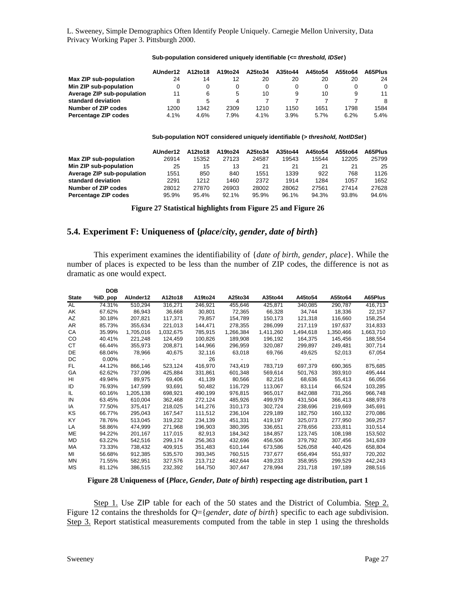|                            | AUnder12 | A12to18 | A19to24 | A25to34 | A35to44 | A45to54 | A55to64 | A65Plus |
|----------------------------|----------|---------|---------|---------|---------|---------|---------|---------|
| Max ZIP sub-population     | 24       | 14      | 12      | 20      | 20      | 20      | 20      | 24      |
| Min ZIP sub-population     |          |         |         |         | 0       | 0       |         | 0       |
| Average ZIP sub-population | 11       | 6       | 5       | 10      | 9       | 10      | 9       | 11      |
| standard deviation         | 8        | 5       | 4       |         |         |         |         | 8       |
| Number of ZIP codes        | 1200     | 1342    | 2309    | 1210    | 1150    | 1651    | 1798    | 1584    |
| Percentage ZIP codes       | 4.1%     | 4.6%    | 7.9%    | 4.1%    | 3.9%    | 5.7%    | 6.2%    | 5.4%    |

#### **Sub-population considered uniquely identifiable (***<= threshold, IDSet* **)**

#### **Sub-population NOT considered uniquely identifiable (***> threshold, NotIDSet* **)**

|                            | AUnder12 | A12to18 | A19to24 | A25to34 | A35to44 | A45to54 | A55to64 | A65Plus |
|----------------------------|----------|---------|---------|---------|---------|---------|---------|---------|
| Max ZIP sub-population     | 26914    | 15352   | 27123   | 24587   | 19543   | 15544   | 12205   | 25799   |
| Min ZIP sub-population     | 25       | 15      | 13      | 21      | 21      | 21      | 21      | 25      |
| Average ZIP sub-population | 1551     | 850     | 840     | 1551    | 1339    | 922     | 768     | 1126    |
| standard deviation         | 2291     | 1212    | 1460    | 2372    | 1914    | 1284    | 1057    | 1652    |
| Number of ZIP codes        | 28012    | 27870   | 26903   | 28002   | 28062   | 27561   | 27414   | 27628   |
| Percentage ZIP codes       | 95.9%    | 95.4%   | 92.1%   | 95.9%   | 96.1%   | 94.3%   | 93.8%   | 94.6%   |

**Figure 27 Statistical highlights from Figure 25 and Figure 26** 

# **5.4. Experiment F: Uniqueness of {***place***/***city***,** *gender***,** *date of birth***}**

This experiment examines the identifiability of {*date of birth*, *gender*, *place*}. While the number of places is expected to be less than the number of ZIP codes, the difference is not as dramatic as one would expect.

|              | <b>DOB</b> |           |           |         |           |           |           |           |           |
|--------------|------------|-----------|-----------|---------|-----------|-----------|-----------|-----------|-----------|
| <b>State</b> | %ID_pop    | AUnder12  | A12to18   | A19to24 | A25to34   | A35to44   | A45to54   | A55to64   | A65Plus   |
| <b>AL</b>    | 74.31%     | 510,294   | 316,271   | 246,921 | 455,646   | 425,871   | 340,085   | 290,787   | 416,713   |
| AK           | 67.62%     | 86,943    | 36,668    | 30,801  | 72,365    | 66,328    | 34,744    | 18,336    | 22,157    |
| AZ.          | 30.18%     | 207,821   | 117,371   | 79,857  | 154.789   | 150.173   | 121,318   | 116,660   | 158.254   |
| AR           | 85.73%     | 355,634   | 221,013   | 144,471 | 278,355   | 286,099   | 217,119   | 197,637   | 314,833   |
| СA           | 35.99%     | 1,705,016 | 1,032,675 | 785,915 | 1,266,384 | 1,411,260 | 1,494,618 | 1,350,466 | 1,663,710 |
| CO.          | 40.41%     | 221,248   | 124,459   | 100,826 | 189,908   | 196,192   | 164,375   | 145,456   | 188,554   |
| CТ           | 66.44%     | 355,973   | 208,871   | 144,966 | 296,959   | 320,087   | 299,897   | 249,481   | 307,714   |
| DE           | 68.04%     | 78,966    | 40,675    | 32,116  | 63,018    | 69,766    | 49,625    | 52,013    | 67,054    |
| DC           | $0.00\%$   |           |           | 26      |           |           |           |           |           |
| FL           | 44.12%     | 866,146   | 523,124   | 416,970 | 743,419   | 783,719   | 697,379   | 690,365   | 875,685   |
| GA           | 62.62%     | 737,096   | 425.884   | 331,861 | 601,348   | 569,614   | 501,763   | 393,910   | 495,444   |
| HI           | 49.94%     | 89,975    | 69,406    | 41,139  | 80,566    | 82,216    | 68,636    | 55,413    | 66,056    |
| ID           | 76.93%     | 147,599   | 93,691    | 50,482  | 116,729   | 113,067   | 83,114    | 66,524    | 103,285   |
| IL           | 60.16%     | 1,205,138 | 698,921   | 490,199 | 976,815   | 965,017   | 842,088   | 731,266   | 966,748   |
| IN           | 63.45%     | 610,004   | 362,468   | 272,124 | 485,926   | 499,979   | 431,504   | 366,413   | 488,978   |
| IA           | 77.50%     | 375,417   | 218,025   | 141,276 | 310,173   | 302,724   | 238,696   | 219,669   | 345,691   |
| KS           | 66.77%     | 295,043   | 167,547   | 111,512 | 236,104   | 229,189   | 182,750   | 160,132   | 270,086   |
| KY           | 78.76%     | 513,045   | 319,232   | 234,139 | 451,331   | 419,197   | 325,073   | 277,950   | 369,257   |
| LA           | 58.86%     | 474,999   | 271.968   | 196.903 | 380.395   | 336,651   | 278.656   | 233,811   | 310,514   |
| <b>ME</b>    | 94.22%     | 201,167   | 117,015   | 82,913  | 184,342   | 184,857   | 123,745   | 108,198   | 153,502   |
| MD           | 63.22%     | 542.516   | 299.174   | 256,363 | 432.696   | 456.506   | 379.792   | 307.456   | 341,639   |
| МA           | 73.33%     | 738,432   | 409,915   | 351,483 | 610,144   | 673.586   | 526.058   | 440.426   | 658,804   |
| MI           | 56.68%     | 912,385   | 535,570   | 393,345 | 760,515   | 737,677   | 656,494   | 551,937   | 720,202   |
| MN           | 71.55%     | 582,951   | 327,576   | 213,712 | 462,644   | 439,233   | 358,955   | 299,529   | 442,243   |
| МS           | 81.12%     | 386,515   | 232,392   | 164,750 | 307,447   | 278,994   | 231,718   | 197,189   | 288,516   |

**Figure 28 Uniqueness of {***Place***,** *Gender***,** *Date of birth***} respecting age distribution, part 1** 

Step 1. Use ZIP table for each of the 50 states and the District of Columbia. Step 2. Figure 12 contains the thresholds for *Q*={*gender*, *date of birth*} specific to each age subdivision. Step 3. Report statistical measurements computed from the table in step 1 using the thresholds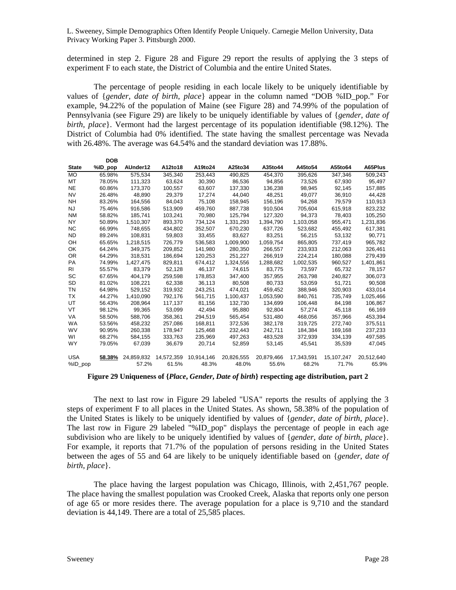determined in step 2. Figure 28 and Figure 29 report the results of applying the 3 steps of experiment F to each state, the District of Columbia and the entire United States.

The percentage of people residing in each locale likely to be uniquely identifiable by values of {*gender*, *date of birth*, *place*} appear in the column named "DOB %ID\_pop." For example, 94.22% of the population of Maine (see Figure 28) and 74.99% of the population of Pennsylvania (see Figure 29) are likely to be uniquely identifiable by values of {*gender*, *date of birth*, *place*}. Vermont had the largest percentage of its population identifiable (98.12%). The District of Columbia had 0% identified. The state having the smallest percentage was Nevada with 26.48%. The average was 64.54% and the standard deviation was 17.88%.

|              | DОR     |            |            |            |            |            |            |            |            |
|--------------|---------|------------|------------|------------|------------|------------|------------|------------|------------|
| <b>State</b> | %ID_pop | AUnder12   | A12to18    | A19to24    | A25to34    | A35to44    | A45to54    | A55to64    | A65Plus    |
| <b>MO</b>    | 65.98%  | 575,534    | 345,340    | 253,443    | 490,825    | 454,370    | 395,626    | 347,346    | 509,243    |
| MT           | 78.05%  | 111,323    | 63.624     | 30.390     | 86,536     | 94.856     | 73,526     | 67,930     | 95,497     |
| NE           | 60.86%  | 173,370    | 100,557    | 63,607     | 137,330    | 136,238    | 98,945     | 92,145     | 157,885    |
| <b>NV</b>    | 26.48%  | 48,890     | 29,379     | 17,274     | 44,040     | 48,251     | 49,077     | 36,910     | 44,428     |
| NΗ           | 83.26%  | 164,556    | 84,043     | 75,108     | 158,945    | 156,196    | 94,268     | 79,579     | 110,913    |
| NJ           | 75.46%  | 916,586    | 513,909    | 459,760    | 887,738    | 910,504    | 705,604    | 615,918    | 823,232    |
| <b>NM</b>    | 58.82%  | 185,741    | 103,241    | 70,980     | 125,794    | 127,320    | 94,373     | 78,403     | 105,250    |
| <b>NY</b>    | 50.89%  | 1,510,307  | 893,370    | 734,124    | 1,331,293  | 1,394,790  | 1,103,058  | 955,471    | 1,231,836  |
| <b>NC</b>    | 66.99%  | 748,655    | 434,802    | 352,507    | 670,230    | 637,726    | 523,682    | 455,492    | 617,381    |
| ND.          | 89.24%  | 108,831    | 59,803     | 33,455     | 83,627     | 83,251     | 56,215     | 53,132     | 90,771     |
| OH           | 65.65%  | 1,218,515  | 726,779    | 536,583    | 1,009,900  | 1,059,754  | 865,805    | 737,419    | 965,782    |
| OK           | 64.24%  | 349,375    | 209,852    | 141,980    | 280,350    | 266,557    | 233,933    | 212,063    | 326,461    |
| 0R           | 64.29%  | 318,531    | 186,694    | 120,253    | 251,227    | 266,919    | 224,214    | 180,088    | 279,439    |
| PA           | 74.99%  | 1,427,475  | 829,811    | 674,412    | 1,324,556  | 1,288,682  | 1,002,535  | 960.527    | 1,401,861  |
| RI           | 55.57%  | 83,379     | 52,128     | 46,137     | 74,615     | 83,775     | 73,597     | 65,732     | 78,157     |
| SC           | 67.65%  | 404,179    | 259,598    | 178.853    | 347,400    | 357,955    | 263,798    | 240.827    | 306,073    |
| SD           | 81.02%  | 108,221    | 62,338     | 36,113     | 80,508     | 80.733     | 53,059     | 51,721     | 90,508     |
| ΤN           | 64.98%  | 529,152    | 319,932    | 243,251    | 474,021    | 459,452    | 388,946    | 320,903    | 433,014    |
| ТX           | 44.27%  | 1,410,090  | 792,176    | 561,715    | 1,100,437  | 1,053,590  | 840,761    | 735,749    | 1,025,466  |
| UT           | 56.43%  | 208,964    | 117,137    | 81,156     | 132,730    | 134,699    | 106,448    | 84,198     | 106,867    |
| VT           | 98.12%  | 99,365     | 53,099     | 42,494     | 95,880     | 92,804     | 57,274     | 45,118     | 66,169     |
| VA           | 58.50%  | 588,706    | 358,361    | 294,519    | 565,454    | 531,480    | 468,056    | 357,966    | 453,394    |
| <b>WA</b>    | 53.56%  | 458,232    | 257,086    | 168,811    | 372,536    | 382,178    | 319,725    | 272,740    | 375,511    |
| <b>WV</b>    | 90.95%  | 260,338    | 178,947    | 125,468    | 232,443    | 242,711    | 184,384    | 169,168    | 237,233    |
| WI           | 68.27%  | 584,155    | 333,763    | 235,969    | 497,263    | 483,528    | 372,939    | 334,139    | 497,585    |
| <b>WY</b>    | 79.05%  | 67,039     | 36,679     | 20,714     | 52,859     | 53,145     | 45,541     | 35,539     | 47,045     |
| <b>USA</b>   | 58.38%  | 24,859,832 | 14,572,359 | 10,914,146 | 20,826,555 | 20,879,466 | 17,343,591 | 15,107,247 | 20,512,640 |
| %ID_pop      |         | 57.2%      | 61.5%      | 48.3%      | 48.0%      | 55.6%      | 68.2%      | 71.7%      | 65.9%      |

**Figure 29 Uniqueness of {***Place***,** *Gender***,** *Date of birth***} respecting age distribution, part 2** 

The next to last row in Figure 29 labeled "USA" reports the results of applying the 3 steps of experiment F to all places in the United States. As shown, 58.38% of the population of the United States is likely to be uniquely identified by values of {*gender*, *date of birth*, *place*}. The last row in Figure 29 labeled "%ID\_pop" displays the percentage of people in each age subdivision who are likely to be uniquely identified by values of {*gender, date of birth*, *place*}. For example, it reports that 71.7% of the population of persons residing in the United States between the ages of 55 and 64 are likely to be uniquely identifiable based on {*gender*, *date of birth*, *place*}.

The place having the largest population was Chicago, Illinois, with 2,451,767 people. The place having the smallest population was Crooked Creek, Alaska that reports only one person of age 65 or more resides there. The average population for a place is 9,710 and the standard deviation is 44,149. There are a total of 25,585 places.

**DOB**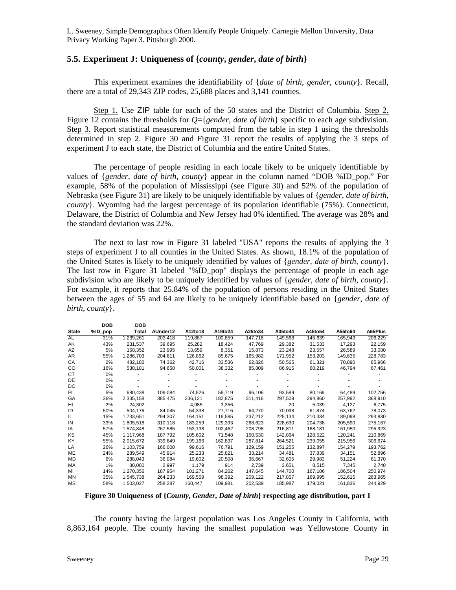### **5.5. Experiment J: Uniqueness of {***county***,** *gender***,** *date of birth***}**

This experiment examines the identifiability of {*date of birth*, *gender*, *county*}. Recall, there are a total of 29,343 ZIP codes, 25,688 places and 3,141 counties.

Step 1. Use ZIP table for each of the 50 states and the District of Columbia. Step 2. Figure 12 contains the thresholds for *Q*={*gender*, *date of birth*} specific to each age subdivision. Step 3. Report statistical measurements computed from the table in step 1 using the thresholds determined in step 2. Figure 30 and Figure 31 report the results of applying the 3 steps of experiment J to each state, the District of Columbia and the entire United States.

The percentage of people residing in each locale likely to be uniquely identifiable by values of {*gender*, *date of birth*, *county*} appear in the column named "DOB %ID\_pop." For example, 58% of the population of Mississippi (see Figure 30) and 52% of the population of Nebraska (see Figure 31) are likely to be uniquely identifiable by values of {*gender*, *date of birth*, *county*}. Wyoming had the largest percentage of its population identifiable (75%). Connecticut, Delaware, the District of Columbia and New Jersey had 0% identified. The average was 28% and the standard deviation was 22%.

The next to last row in Figure 31 labeled "USA" reports the results of applying the 3 steps of experiment J to all counties in the United States. As shown, 18.1% of the population of the United States is likely to be uniquely identified by values of {*gender*, *date of birth*, *county*}. The last row in Figure 31 labeled "%ID\_pop" displays the percentage of people in each age subdivision who are likely to be uniquely identified by values of {*gender, date of birth*, *county*}. For example, it reports that 25.84% of the population of persons residing in the United States between the ages of 55 and 64 are likely to be uniquely identifiable based on {*gender*, *date of birth*, *county*}.

|              | DOB     | DOB       |          |         |         |         |         |         |         |         |
|--------------|---------|-----------|----------|---------|---------|---------|---------|---------|---------|---------|
| <b>State</b> | %ID_pop | Total     | AUnder12 | A12to18 | A19to24 | A25to34 | A35to44 | A45to54 | A55to64 | A65Plus |
| AL           | 31%     | 1,239,261 | 203,418  | 119,887 | 100,859 | 147,718 | 149,568 | 145,639 | 165,943 | 206,229 |
| AK           | 43%     | 231,537   | 39,695   | 25,282  | 18,424  | 47,769  | 29,382  | 31,533  | 17,293  | 22,159  |
| AZ           | 5%      | 168,352   | 23,995   | 13.659  | 8,351   | 15,873  | 23,248  | 23,557  | 26,589  | 33,080  |
| AR           | 55%     | 1,286,703 | 204,611  | 126,862 | 85,675  | 165,982 | 171,952 | 153,203 | 149,635 | 228,783 |
| CA           | 2%      | 482,182   | 74.362   | 42,716  | 33,536  | 62,826  | 50,565  | 61,321  | 70,890  | 85,966  |
| CO           | 16%     | 530,181   | 94,650   | 50,001  | 38,332  | 85,809  | 86,915  | 60,219  | 46,794  | 67,461  |
| СT           | $0\%$   |           |          |         |         |         |         |         |         |         |
| DE           | 0%      |           |          |         |         |         |         |         |         |         |
| DC           | $0\%$   |           |          |         |         |         |         |         |         |         |
| FL           | 5%      | 680,438   | 109,084  | 74,526  | 59,719  | 96,106  | 93,589  | 80,169  | 64,489  | 102,756 |
| GA           | 36%     | 2,335,158 | 385,475  | 236,121 | 182,875 | 311,416 | 297,509 | 294,860 | 257,992 | 368,910 |
| HI           | 2%      | 24.302    |          | 4,985   | 3,356   |         | 20      | 5,039   | 4,127   | 6,775   |
| ID           | 50%     | 504,176   | 84,045   | 54,338  | 27,716  | 64,270  | 70,098  | 61,874  | 63,762  | 78,073  |
| IL           | 15%     | 1,733,651 | 294,307  | 164,151 | 119,585 | 237,212 | 225,134 | 210,334 | 189,098 | 293,830 |
| IN           | 33%     | 1,805,518 | 310,118  | 183,259 | 129,393 | 268,623 | 228,630 | 204,738 | 205,590 | 275,167 |
| IA           | 57%     | 1,574,848 | 267,585  | 153,138 | 102,462 | 208.798 | 216,811 | 168,181 | 161,950 | 295,923 |
| ΚS           | 45%     | 1,117,968 | 187,792  | 105,602 | 71,548  | 150,530 | 142,864 | 128,522 | 120,241 | 210,869 |
| KY           | 55%     | 2,015,672 | 339.649  | 199.166 | 162,837 | 287,814 | 264,521 | 239,055 | 215,956 | 306,674 |
| LA           | 26%     | 1,103,759 | 166,000  | 99,616  | 76,791  | 129,159 | 151,255 | 132,897 | 154,279 | 193,762 |
| ME           | 24%     | 289,549   | 45,914   | 25,233  | 25,821  | 33,214  | 34,481  | 37,839  | 34,151  | 52,896  |
| MD           | 6%      | 288.043   | 36,084   | 19.602  | 20,508  | 36,667  | 32,605  | 29,983  | 51,224  | 61,370  |
| MA           | 1%      | 30,080    | 2,997    | 1,179   | 914     | 2,739   | 3,651   | 8,515   | 7,345   | 2,740   |
| MI           | 14%     | 1,270,356 | 187,954  | 101,271 | 84,202  | 147,645 | 144,700 | 167,106 | 186,504 | 250,974 |
| MN           | 35%     | 1,545,738 | 264,233  | 169,559 | 98,392  | 209,122 | 217,857 | 169,995 | 152,615 | 263,965 |
| <b>MS</b>    | 58%     | 1,503,027 | 258,287  | 160.447 | 109,981 | 202.539 | 185,987 | 179,021 | 161.836 | 244,929 |

**Figure 30 Uniqueness of {***County***,** *Gender***,** *Date of birth***} respecting age distribution, part 1** 

The county having the largest population was Los Angeles County in California, with 8,863,164 people. The county having the smallest population was Yellowstone County in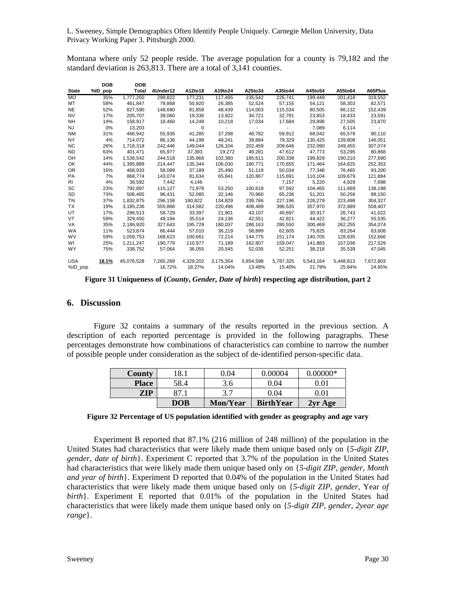Montana where only 52 people reside. The average population for a county is 79,182 and the standard deviation is 263,813. There are a total of 3,141 counties.

|              | DOB     | <b>DOB</b> |           |           |           |           |           |           |           |           |
|--------------|---------|------------|-----------|-----------|-----------|-----------|-----------|-----------|-----------|-----------|
| <b>State</b> | %ID_pop | Total      | AUnder12  | A12to18   | A19to24   | A25to34   | A35to44   | A45to54   | A55to64   | A65Plus   |
| <b>MO</b>    | 35%     | 1,777,250  | 299,822   | 177,231   | 117,495   | 235,542   | 226,741   | 199,449   | 201,418   | 319,552   |
| MT           | 58%     | 461,847    | 79,868    | 50,920    | 26,385    | 52,524    | 57,155    | 54,121    | 58,303    | 82,571    |
| <b>NE</b>    | 52%     | 827,590    | 148,680   | 81,858    | 48,439    | 114,003   | 115,534   | 80,505    | 86,132    | 152,439   |
| NV           | 17%     | 205,707    | 39,060    | 19,336    | 13,922    | 34,721    | 32,791    | 23,853    | 18,433    | 23,591    |
| <b>NH</b>    | 14%     | 158,917    | 18,460    | 14,248    | 10,218    | 17,034    | 17,684    | 29,898    | 27,505    | 23,870    |
| NJ           | 0%      | 13,203     |           | 0         | $\sim$    |           |           | 7,089     | 6,114     |           |
| <b>NM</b>    | 31%     | 466,942    | 55,935    | 41,285    | 37,298    | 48,782    | 59,912    | 68,042    | 65,578    | 90,110    |
| <b>NY</b>    | 4%      | 714,072    | 86,136    | 44,198    | 48,241    | 39,884    | 79,329    | 130,425   | 139,808   | 146,051   |
| <b>NC</b>    | 26%     | 1.718.318  | 242,446   | 149.044   | 126.104   | 202.459   | 209,646   | 232.090   | 249.455   | 307.074   |
| ND           | 63%     | 401,471    | 65,977    | 37,393    | 19,272    | 49,281    | 47,612    | 47,773    | 53,295    | 80,868    |
| OH           | 14%     | 1,536,542  | 244,518   | 135.966   | 102,380   | 185,611   | 200,338   | 199,829   | 190,210   | 277,690   |
| OK           | 44%     | 1,395,889  | 214,447   | 135,344   | 106,030   | 180,771   | 170,655   | 171,464   | 164,825   | 252,353   |
| 0R           | 16%     | 468,933    | 58,089    | 37,189    | 25,490    | 51,118    | 50,034    | 77,348    | 76,465    | 93,200    |
| PA           | 7%      | 868,774    | 143,074   | 81,634    | 65,841    | 120,867   | 115,691   | 110,104   | 109,679   | 121,884   |
| <b>RI</b>    | 4%      | 36,592     | 7,442     | 4,146     | $\sim$    | $\sim$    | 7,157     | 5,220     | 4,929     | 7,698     |
| SC           | 23%     | 792.897    | 115.127   | 71.978    | 53,250    | 100,618   | 97,592    | 104,465   | 111,669   | 138,198   |
| SD           | 73%     | 506,465    | 96,431    | 52,085    | 32,146    | 70,960    | 65,236    | 51,201    | 50,256    | 88,150    |
| <b>TN</b>    | 37%     | 1,832,875  | 296,158   | 180,822   | 134,829   | 239,766   | 227,196   | 226,279   | 223,498   | 304,327   |
| TX           | 19%     | 3,185,236  | 555,868   | 314,582   | 220,496   | 408,489   | 396,535   | 357,970   | 372,889   | 558,407   |
| UT           | 17%     | 296,513    | 58,729    | 33,397    | 21,901    | 43,107    | 40,697    | 30,917    | 26,743    | 41,022    |
| VT           | 59%     | 329,450    | 48,194    | 35,514    | 24,136    | 42,551    | 42,821    | 44,422    | 36,277    | 55,535    |
| VA           | 35%     | 2,186,920  | 327,643   | 195,729   | 180,037   | 286,163   | 280,550   | 300,469   | 262,255   | 354,074   |
| WA           | 11%     | 523,874    | 66,444    | 57,010    | 36,219    | 58,899    | 62,605    | 75,825    | 83,264    | 83,608    |
| <b>WV</b>    | 59%     | 1,059,753  | 168,623   | 100,661   | 72,214    | 144,775   | 151,174   | 140,705   | 128,935   | 152,666   |
| WI           | 25%     | 1,211,247  | 190,779   | 110.977   | 71,189    | 162,807   | 159,047   | 141,883   | 157,036   | 217,529   |
| <b>WY</b>    | 75%     | 338,752    | 57,064    | 36,055    | 20,545    | 52,035    | 52,251    | 38,218    | 35,539    | 47,045    |
| <b>USA</b>   | 18.1%   | 45,076,528 | 7.265.269 | 4,329,202 | 3,175,354 | 5,854,598 | 5,787,325 | 5,543,164 | 5,448,813 | 7,672,803 |
| %ID pop      |         |            | 16.72%    | 18.27%    | 14.04%    | 13.48%    | 15.40%    | 21.79%    | 25.84%    | 24.65%    |

**Figure 31 Uniqueness of {***County***,** *Gender***,** *Date of birth***} respecting age distribution, part 2** 

#### **6. Discussion**

Figure 32 contains a summary of the results reported in the previous section. A description of each reported percentage is provided in the following paragraphs. These percentages demonstrate how combinations of characteristics can combine to narrow the number of possible people under consideration as the subject of de-identified person-specific data.

| <b>County</b> | 18.1       | $0.04\,$ | 0.00004          | $0.00000*$                     |
|---------------|------------|----------|------------------|--------------------------------|
| <b>Place</b>  | 58.4       | 3.6      | 0.04             | $0.01\,$                       |
| <b>ZIP</b>    |            |          | 0.04             | $\hphantom{0}\hphantom{0}9.01$ |
|               | <b>DOB</b> | Mon/Year | <b>BirthYear</b> | 2yr Age                        |

**Figure 32 Percentage of US population identified with gender as geography and age vary** 

Experiment B reported that 87.1% (216 million of 248 million) of the population in the United States had characteristics that were likely made them unique based only on {*5-digit ZIP*, *gender*, *date of birth*}. Experiment C reported that 3.7% of the population in the United States had characteristics that were likely made them unique based only on {*5-digit ZIP*, *gender*, *Month and year of birth*}. Experiment D reported that 0.04% of the population in the United States had characteristics that were likely made them unique based only on {*5-digit ZIP*, *gender*, Year *of birth*}. Experiment E reported that 0.01% of the population in the United States had characteristics that were likely made them unique based only on {*5-digit ZIP*, *gender*, *2year age range*}.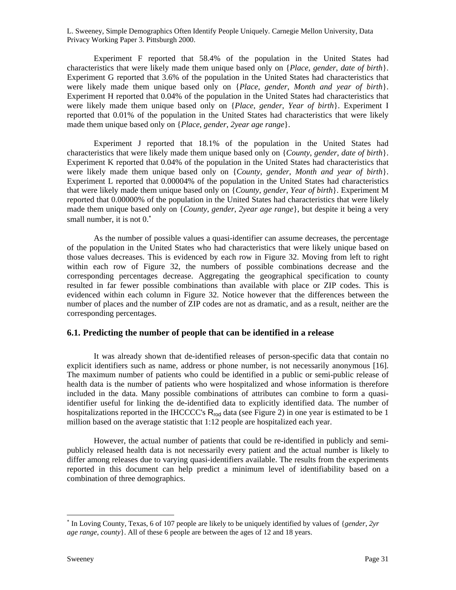Experiment F reported that 58.4% of the population in the United States had characteristics that were likely made them unique based only on {*Place*, *gender*, *date of birth*}. Experiment G reported that 3.6% of the population in the United States had characteristics that were likely made them unique based only on {*Place*, *gender*, *Month and year of birth*}. Experiment H reported that 0.04% of the population in the United States had characteristics that were likely made them unique based only on {*Place*, *gender*, *Year of birth*}. Experiment I reported that 0.01% of the population in the United States had characteristics that were likely made them unique based only on {*Place*, *gender*, *2year age range*}.

Experiment J reported that 18.1% of the population in the United States had characteristics that were likely made them unique based only on {*County*, *gender*, *date of birth*}. Experiment K reported that 0.04% of the population in the United States had characteristics that were likely made them unique based only on {*County*, *gender*, *Month and year of birth*}. Experiment L reported that 0.00004% of the population in the United States had characteristics that were likely made them unique based only on {*County*, *gender*, *Year of birth*}. Experiment M reported that 0.00000% of the population in the United States had characteristics that were likely made them unique based only on {*County*, *gender*, *2year age range*}, but despite it being a very small number, it is not 0.<sup>\*</sup>

As the number of possible values a quasi-identifier can assume decreases, the percentage of the population in the United States who had characteristics that were likely unique based on those values decreases. This is evidenced by each row in Figure 32. Moving from left to right within each row of Figure 32, the numbers of possible combinations decrease and the corresponding percentages decrease. Aggregating the geographical specification to county resulted in far fewer possible combinations than available with place or ZIP codes. This is evidenced within each column in Figure 32. Notice however that the differences between the number of places and the number of ZIP codes are not as dramatic, and as a result, neither are the corresponding percentages.

### **6.1. Predicting the number of people that can be identified in a release**

It was already shown that de-identified releases of person-specific data that contain no explicit identifiers such as name, address or phone number, is not necessarily anonymous [16]. The maximum number of patients who could be identified in a public or semi-public release of health data is the number of patients who were hospitalized and whose information is therefore included in the data. Many possible combinations of attributes can combine to form a quasiidentifier useful for linking the de-identified data to explicitly identified data. The number of hospitalizations reported in the IHCCCC's  $R_{rod}$  data (see Figure 2) in one year is estimated to be 1 million based on the average statistic that 1:12 people are hospitalized each year.

However, the actual number of patients that could be re-identified in publicly and semipublicly released health data is not necessarily every patient and the actual number is likely to differ among releases due to varying quasi-identifiers available. The results from the experiments reported in this document can help predict a minimum level of identifiability based on a combination of three demographics.

 $\overline{a}$ 

<sup>∗</sup> In Loving County, Texas, 6 of 107 people are likely to be uniquely identified by values of {*gender*, *2yr age range*, *county*}. All of these 6 people are between the ages of 12 and 18 years.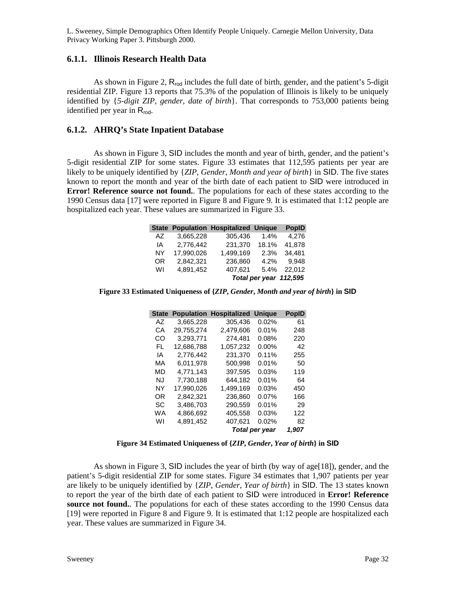# **6.1.1. Illinois Research Health Data**

As shown in Figure 2,  $R_{rod}$  includes the full date of birth, gender, and the patient's 5-digit residential ZIP. Figure 13 reports that 75.3% of the population of Illinois is likely to be uniquely identified by {*5-digit ZIP*, *gender*, *date of birth*}. That corresponds to 753,000 patients being identified per year in R<sub>rod</sub>.

# **6.1.2. AHRQ's State Inpatient Database**

As shown in Figure 3, SID includes the month and year of birth, gender, and the patient's 5-digit residential ZIP for some states. Figure 33 estimates that 112,595 patients per year are likely to be uniquely identified by {*ZIP*, *Gender*, *Month and year of birth*} in SID. The five states known to report the month and year of the birth date of each patient to SID were introduced in **Error! Reference source not found.**. The populations for each of these states according to the 1990 Census data [17] were reported in Figure 8 and Figure 9. It is estimated that 1:12 people are hospitalized each year. These values are summarized in Figure 33.

|     |            | <b>State Population Hospitalized Unique</b> |                        | <b>PopID</b> |
|-----|------------|---------------------------------------------|------------------------|--------------|
| AZ. | 3,665,228  | 305,436                                     | 1.4%                   | 4.276        |
| IA  | 2,776,442  | 231,370                                     | 18.1%                  | 41,878       |
| NY  | 17.990.026 | 1,499,169                                   | 2.3%                   | 34.481       |
| 0R  | 2,842,321  | 236,860                                     | 4.2%                   | 9.948        |
| WI  | 4.891.452  | 407.621                                     | 5.4%                   | 22.012       |
|     |            |                                             | Total per year 112,595 |              |

**Figure 33 Estimated Uniqueness of {***ZIP***,** *Gender***,** *Month and year of birth***} in SID**

| <b>State</b> | <b>Population</b> | <b>Hospitalized</b> | Unique         | <b>PopID</b> |  |  |  |
|--------------|-------------------|---------------------|----------------|--------------|--|--|--|
| A7           | 3,665,228         | 305,436             | 0.02%          | 61           |  |  |  |
| СA           | 29.755.274        | 2.479.606           | 0.01%          | 248          |  |  |  |
| CO           | 3,293,771         | 274,481             | 0.08%          | 220          |  |  |  |
| FL.          | 12,686,788        | 1,057,232           | $0.00\%$       | 42           |  |  |  |
| ΙA           | 2,776,442         | 231,370             | 0.11%          | 255          |  |  |  |
| МA           | 6,011,978         | 500,998             | 0.01%          | 50           |  |  |  |
| MD           | 4.771.143         | 397.595             | 0.03%          | 119          |  |  |  |
| N.I          | 7.730.188         | 644.182             | 0.01%          | 64           |  |  |  |
| NY           | 17,990,026        | 1,499,169           | $0.03\%$       | 450          |  |  |  |
| OR           | 2,842,321         | 236.860             | $0.07\%$       | 166          |  |  |  |
| SC           | 3,486,703         | 290,559             | 0.01%          | 29           |  |  |  |
| WА           | 4.866.692         | 405.558             | 0.03%          | 122          |  |  |  |
| W١           | 4.891.452         | 407.621             | 0.02%          | 82           |  |  |  |
|              |                   |                     | Total per year |              |  |  |  |

#### **Figure 34 Estimated Uniqueness of {***ZIP***,** *Gender***,** *Year of birth***} in SID**

As shown in Figure 3, SID includes the year of birth (by way of age  $[18]$ ), gender, and the patient's 5-digit residential ZIP for some states. Figure 34 estimates that 1,907 patients per year are likely to be uniquely identified by {*ZIP*, *Gender*, *Year of birth*} in SID. The 13 states known to report the year of the birth date of each patient to SID were introduced in **Error! Reference**  source not found.. The populations for each of these states according to the 1990 Census data [19] were reported in Figure 8 and Figure 9. It is estimated that 1:12 people are hospitalized each year. These values are summarized in Figure 34.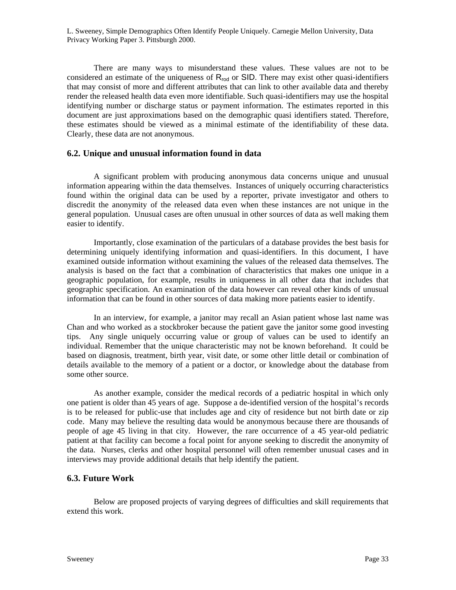There are many ways to misunderstand these values. These values are not to be considered an estimate of the uniqueness of  $R_{rod}$  or SID. There may exist other quasi-identifiers that may consist of more and different attributes that can link to other available data and thereby render the released health data even more identifiable. Such quasi-identifiers may use the hospital identifying number or discharge status or payment information. The estimates reported in this document are just approximations based on the demographic quasi identifiers stated. Therefore, these estimates should be viewed as a minimal estimate of the identifiability of these data. Clearly, these data are not anonymous.

### **6.2. Unique and unusual information found in data**

A significant problem with producing anonymous data concerns unique and unusual information appearing within the data themselves. Instances of uniquely occurring characteristics found within the original data can be used by a reporter, private investigator and others to discredit the anonymity of the released data even when these instances are not unique in the general population. Unusual cases are often unusual in other sources of data as well making them easier to identify.

Importantly, close examination of the particulars of a database provides the best basis for determining uniquely identifying information and quasi-identifiers. In this document, I have examined outside information without examining the values of the released data themselves. The analysis is based on the fact that a combination of characteristics that makes one unique in a geographic population, for example, results in uniqueness in all other data that includes that geographic specification. An examination of the data however can reveal other kinds of unusual information that can be found in other sources of data making more patients easier to identify.

In an interview, for example, a janitor may recall an Asian patient whose last name was Chan and who worked as a stockbroker because the patient gave the janitor some good investing tips. Any single uniquely occurring value or group of values can be used to identify an individual. Remember that the unique characteristic may not be known beforehand. It could be based on diagnosis, treatment, birth year, visit date, or some other little detail or combination of details available to the memory of a patient or a doctor, or knowledge about the database from some other source.

As another example, consider the medical records of a pediatric hospital in which only one patient is older than 45 years of age. Suppose a de-identified version of the hospital's records is to be released for public-use that includes age and city of residence but not birth date or zip code. Many may believe the resulting data would be anonymous because there are thousands of people of age 45 living in that city. However, the rare occurrence of a 45 year-old pediatric patient at that facility can become a focal point for anyone seeking to discredit the anonymity of the data. Nurses, clerks and other hospital personnel will often remember unusual cases and in interviews may provide additional details that help identify the patient.

### **6.3. Future Work**

Below are proposed projects of varying degrees of difficulties and skill requirements that extend this work.